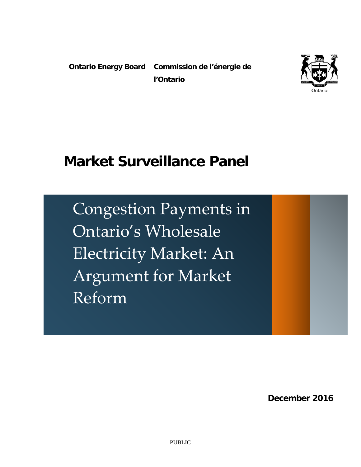**Ontario Energy Board** Commission de l'énergie de **l'Ontario**



# **Market Surveillance Panel**

Congestion Payments in Ontario's Wholesale Electricity Market: An Argument for Market Reform

 **December 2016**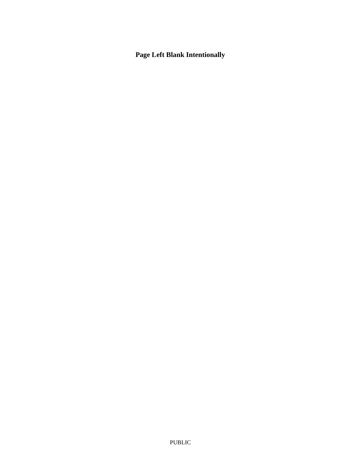### **Page Left Blank Intentionally**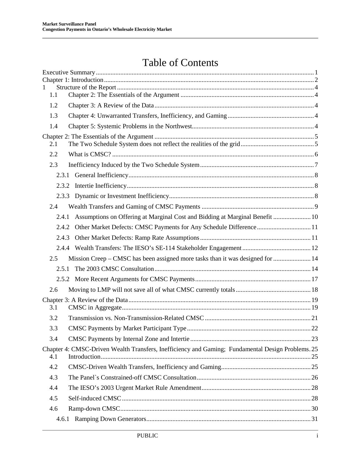## Table of Contents

| $\mathbf{1}$ |                                                                                                   |  |
|--------------|---------------------------------------------------------------------------------------------------|--|
| 1.1          |                                                                                                   |  |
| 1.2          |                                                                                                   |  |
| 1.3          |                                                                                                   |  |
| 1.4          |                                                                                                   |  |
| 2.1          |                                                                                                   |  |
| 2.2          |                                                                                                   |  |
| 2.3          |                                                                                                   |  |
|              |                                                                                                   |  |
|              |                                                                                                   |  |
|              |                                                                                                   |  |
| 2.4          |                                                                                                   |  |
| 2.4.1        | Assumptions on Offering at Marginal Cost and Bidding at Marginal Benefit  10                      |  |
| 2.4.2        | Other Market Defects: CMSC Payments for Any Schedule Difference 11                                |  |
| 2.4.3        |                                                                                                   |  |
|              |                                                                                                   |  |
| 2.5          | Mission Creep – CMSC has been assigned more tasks than it was designed for  14                    |  |
| 2.5.1        |                                                                                                   |  |
|              |                                                                                                   |  |
| 2.6          |                                                                                                   |  |
|              |                                                                                                   |  |
| 3.1          |                                                                                                   |  |
| 3.2          |                                                                                                   |  |
| 3.3          |                                                                                                   |  |
| 3.4          |                                                                                                   |  |
| 4.1          | Chapter 4: CMSC-Driven Wealth Transfers, Inefficiency and Gaming; Fundamental Design Problems. 25 |  |
| 4.2          |                                                                                                   |  |
| 4.3          |                                                                                                   |  |
| 4.4          |                                                                                                   |  |
| 4.5          |                                                                                                   |  |
| 4.6          |                                                                                                   |  |
| 4.6.1        |                                                                                                   |  |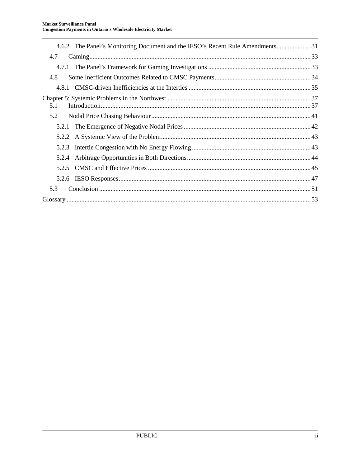|       | 4.6.2 The Panel's Monitoring Document and the IESO's Recent Rule Amendments 31 |  |
|-------|--------------------------------------------------------------------------------|--|
| 4.7   |                                                                                |  |
|       |                                                                                |  |
| 4.8   |                                                                                |  |
|       |                                                                                |  |
| 5.1   |                                                                                |  |
| 5.2   |                                                                                |  |
|       |                                                                                |  |
|       |                                                                                |  |
| 5.2.3 |                                                                                |  |
| 5.2.4 |                                                                                |  |
|       |                                                                                |  |
|       |                                                                                |  |
| 5.3   |                                                                                |  |
|       |                                                                                |  |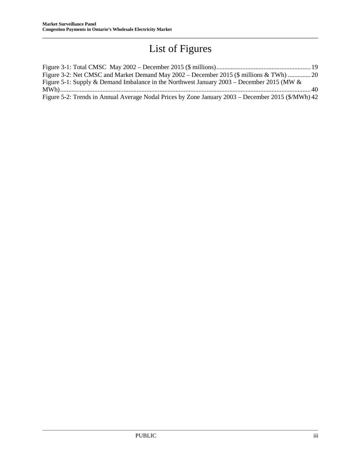## List of Figures

| Figure 3-2: Net CMSC and Market Demand May 2002 – December 2015 (\$ millions & TWh) 20             |  |
|----------------------------------------------------------------------------------------------------|--|
| Figure 5-1: Supply & Demand Imbalance in the Northwest January $2003$ – December 2015 (MW &        |  |
|                                                                                                    |  |
| Figure 5-2: Trends in Annual Average Nodal Prices by Zone January 2003 – December 2015 (\$/MWh) 42 |  |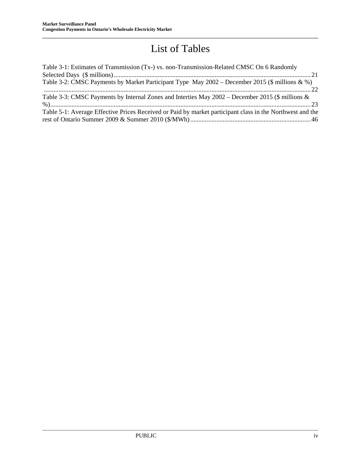## List of Tables

| Table 3-1: Estimates of Transmission (Tx-) vs. non-Transmission-Related CMSC On 6 Randomly                |
|-----------------------------------------------------------------------------------------------------------|
|                                                                                                           |
| Table 3-2: CMSC Payments by Market Participant Type May 2002 – December 2015 (\$ millions & %)            |
|                                                                                                           |
| Table 3-3: CMSC Payments by Internal Zones and Interties May $2002$ – December 2015 (\$ millions &        |
|                                                                                                           |
| Table 5-1: Average Effective Prices Received or Paid by market participant class in the Northwest and the |
|                                                                                                           |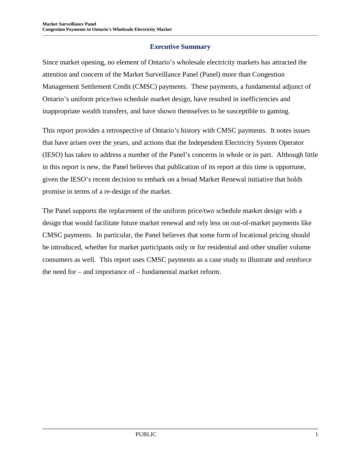#### **Executive Summary**

<span id="page-6-0"></span>Since market opening, no element of Ontario's wholesale electricity markets has attracted the attention and concern of the Market Surveillance Panel (Panel) more than Congestion Management Settlement Credit (CMSC) payments. These payments, a fundamental adjunct of Ontario's uniform price/two schedule market design, have resulted in inefficiencies and inappropriate wealth transfers, and have shown themselves to be susceptible to gaming.

This report provides a retrospective of Ontario's history with CMSC payments. It notes issues that have arisen over the years, and actions that the Independent Electricity System Operator (IESO) has taken to address a number of the Panel's concerns in whole or in part. Although little in this report is new, the Panel believes that publication of its report at this time is opportune, given the IESO's recent decision to embark on a broad Market Renewal initiative that holds promise in terms of a re-design of the market.

The Panel supports the replacement of the uniform price/two schedule market design with a design that would facilitate future market renewal and rely less on out-of-market payments like CMSC payments. In particular, the Panel believes that some form of locational pricing should be introduced, whether for market participants only or for residential and other smaller volume consumers as well. This report uses CMSC payments as a case study to illustrate and reinforce the need for – and importance of – fundamental market reform.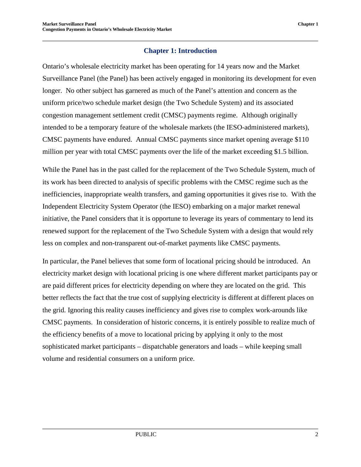#### **Chapter 1: Introduction**

<span id="page-7-0"></span>Ontario's wholesale electricity market has been operating for 14 years now and the Market Surveillance Panel (the Panel) has been actively engaged in monitoring its development for even longer. No other subject has garnered as much of the Panel's attention and concern as the uniform price/two schedule market design (the Two Schedule System) and its associated congestion management settlement credit (CMSC) payments regime. Although originally intended to be a temporary feature of the wholesale markets (the IESO-administered markets), CMSC payments have endured. Annual CMSC payments since market opening average \$110 million per year with total CMSC payments over the life of the market exceeding \$1.5 billion.

While the Panel has in the past called for the replacement of the Two Schedule System, much of its work has been directed to analysis of specific problems with the CMSC regime such as the inefficiencies, inappropriate wealth transfers, and gaming opportunities it gives rise to. With the Independent Electricity System Operator (the IESO) embarking on a major market renewal initiative, the Panel considers that it is opportune to leverage its years of commentary to lend its renewed support for the replacement of the Two Schedule System with a design that would rely less on complex and non-transparent out-of-market payments like CMSC payments.

In particular, the Panel believes that some form of locational pricing should be introduced. An electricity market design with locational pricing is one where different market participants pay or are paid different prices for electricity depending on where they are located on the grid. This better reflects the fact that the true cost of supplying electricity is different at different places on the grid. Ignoring this reality causes inefficiency and gives rise to complex work-arounds like CMSC payments. In consideration of historic concerns, it is entirely possible to realize much of the efficiency benefits of a move to locational pricing by applying it only to the most sophisticated market participants – dispatchable generators and loads – while keeping small volume and residential consumers on a uniform price.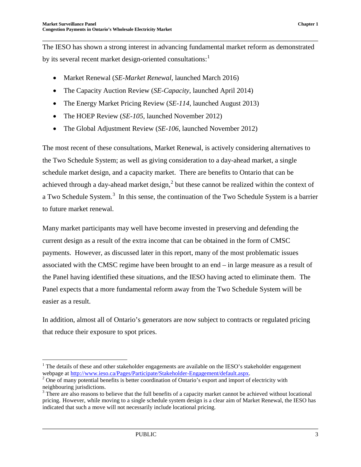The IESO has shown a strong interest in advancing fundamental market reform as demonstrated by its several recent market design-oriented consultations:<sup>[1](#page-8-1)</sup>

- Market Renewal (*SE-Market Renewal*, launched March 2016)
- The Capacity Auction Review (*SE-Capacity*, launched April 2014)
- The Energy Market Pricing Review (*SE-114*, launched August 2013)
- The HOEP Review (*SE-105*, launched November 2012)
- The Global Adjustment Review (*SE-106*, launched November 2012)

The most recent of these consultations, Market Renewal, is actively considering alternatives to the Two Schedule System; as well as giving consideration to a day-ahead market, a single schedule market design, and a capacity market. There are benefits to Ontario that can be achieved through a day-ahead market design, $<sup>2</sup>$  $<sup>2</sup>$  $<sup>2</sup>$  but these cannot be realized within the context of</sup> a Two Schedule System.<sup>[3](#page-8-3)</sup> In this sense, the continuation of the Two Schedule System is a barrier to future market renewal.

Many market participants may well have become invested in preserving and defending the current design as a result of the extra income that can be obtained in the form of CMSC payments. However, as discussed later in this report, many of the most problematic issues associated with the CMSC regime have been brought to an end – in large measure as a result of the Panel having identified these situations, and the IESO having acted to eliminate them. The Panel expects that a more fundamental reform away from the Two Schedule System will be easier as a result.

In addition, almost all of Ontario's generators are now subject to contracts or regulated pricing that reduce their exposure to spot prices.

<span id="page-8-1"></span><span id="page-8-0"></span><sup>&</sup>lt;sup>1</sup> The details of these and other stakeholder engagements are available on the IESO's stakeholder engagement webpage at http://www.ieso.ca/Pages/Participate/Stakeholder-Engagement/default.aspx.

<span id="page-8-2"></span> $\degree$  One of many potential benefits is better coordination of Ontario's export and import of electricity with neighbouring jurisdictions.

<span id="page-8-3"></span><sup>&</sup>lt;sup>3</sup> There are also reasons to believe that the full benefits of a capacity market cannot be achieved without locational pricing. However, while moving to a single schedule system design is a clear aim of Market Renewal, the IESO has indicated that such a move will not necessarily include locational pricing.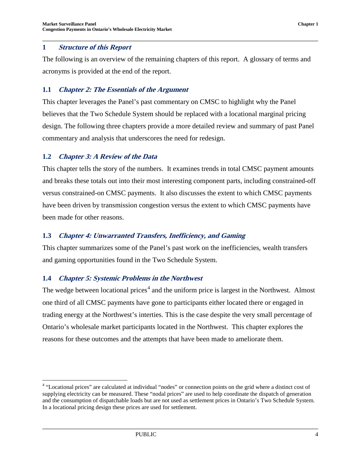The following is an overview of the remaining chapters of this report. A glossary of terms and acronyms is provided at the end of the report.

#### <span id="page-9-0"></span>**1.1 Chapter 2: The Essentials of the Argument**

This chapter leverages the Panel's past commentary on CMSC to highlight why the Panel believes that the Two Schedule System should be replaced with a locational marginal pricing design. The following three chapters provide a more detailed review and summary of past Panel commentary and analysis that underscores the need for redesign.

#### <span id="page-9-1"></span>**1.2 Chapter 3: A Review of the Data**

This chapter tells the story of the numbers. It examines trends in total CMSC payment amounts and breaks these totals out into their most interesting component parts, including constrained-off versus constrained-on CMSC payments. It also discusses the extent to which CMSC payments have been driven by transmission congestion versus the extent to which CMSC payments have been made for other reasons.

#### <span id="page-9-2"></span>**1.3 Chapter 4: Unwarranted Transfers, Inefficiency, and Gaming**

This chapter summarizes some of the Panel's past work on the inefficiencies, wealth transfers and gaming opportunities found in the Two Schedule System.

#### <span id="page-9-3"></span>**1.4 Chapter 5: Systemic Problems in the Northwest**

The wedge between locational prices<sup> $4$ </sup> and the uniform price is largest in the Northwest. Almost one third of all CMSC payments have gone to participants either located there or engaged in trading energy at the Northwest's interties. This is the case despite the very small percentage of Ontario's wholesale market participants located in the Northwest. This chapter explores the reasons for these outcomes and the attempts that have been made to ameliorate them.

<span id="page-9-4"></span><sup>&</sup>lt;sup>4</sup> "Locational prices" are calculated at individual "nodes" or connection points on the grid where a distinct cost of supplying electricity can be measured. These "nodal prices" are used to help coordinate the dispatch of generation and the consumption of dispatchable loads but are not used as settlement prices in Ontario's Two Schedule System. In a locational pricing design these prices are used for settlement.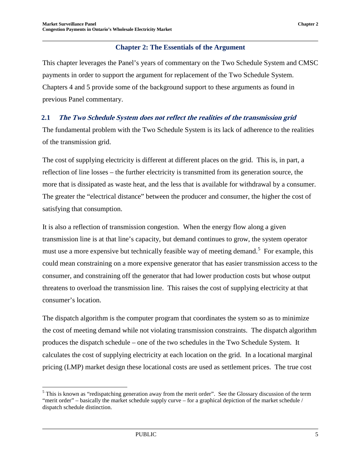#### **Chapter 2: The Essentials of the Argument**

<span id="page-10-0"></span>This chapter leverages the Panel's years of commentary on the Two Schedule System and CMSC payments in order to support the argument for replacement of the Two Schedule System. Chapters 4 and 5 provide some of the background support to these arguments as found in previous Panel commentary.

#### <span id="page-10-1"></span>**2.1 The Two Schedule System does not reflect the realities of the transmission grid**

The fundamental problem with the Two Schedule System is its lack of adherence to the realities of the transmission grid.

The cost of supplying electricity is different at different places on the grid. This is, in part, a reflection of line losses – the further electricity is transmitted from its generation source, the more that is dissipated as waste heat, and the less that is available for withdrawal by a consumer. The greater the "electrical distance" between the producer and consumer, the higher the cost of satisfying that consumption.

It is also a reflection of transmission congestion. When the energy flow along a given transmission line is at that line's capacity, but demand continues to grow, the system operator must use a more expensive but technically feasible way of meeting demand.<sup>[5](#page-10-2)</sup> For example, this could mean constraining on a more expensive generator that has easier transmission access to the consumer, and constraining off the generator that had lower production costs but whose output threatens to overload the transmission line. This raises the cost of supplying electricity at that consumer's location.

The dispatch algorithm is the computer program that coordinates the system so as to minimize the cost of meeting demand while not violating transmission constraints. The dispatch algorithm produces the dispatch schedule – one of the two schedules in the Two Schedule System. It calculates the cost of supplying electricity at each location on the grid. In a locational marginal pricing (LMP) market design these locational costs are used as settlement prices. The true cost

<span id="page-10-2"></span><sup>&</sup>lt;sup>5</sup> This is known as "redispatching generation away from the merit order". See the Glossary discussion of the term "merit order" – basically the market schedule supply curve – for a graphical depiction of the market schedule / dispatch schedule distinction.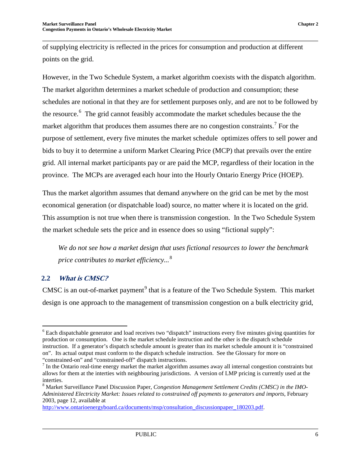of supplying electricity is reflected in the prices for consumption and production at different points on the grid.

However, in the Two Schedule System, a market algorithm coexists with the dispatch algorithm. The market algorithm determines a market schedule of production and consumption; these schedules are notional in that they are for settlement purposes only, and are not to be followed by the resource.<sup>[6](#page-11-1)</sup> The grid cannot feasibly accommodate the market schedules because the the market algorithm that produces them assumes there are no congestion constraints.<sup>[7](#page-11-2)</sup> For the purpose of settlement, every five minutes the market schedule optimizes offers to sell power and bids to buy it to determine a uniform Market Clearing Price (MCP) that prevails over the entire grid. All internal market participants pay or are paid the MCP, regardless of their location in the province. The MCPs are averaged each hour into the Hourly Ontario Energy Price (HOEP).

Thus the market algorithm assumes that demand anywhere on the grid can be met by the most economical generation (or dispatchable load) source, no matter where it is located on the grid. This assumption is not true when there is transmission congestion. In the Two Schedule System the market schedule sets the price and in essence does so using "fictional supply":

*We do not see how a market design that uses fictional resources to lower the benchmark price contributes to market efficiency...* [8](#page-11-3)

#### <span id="page-11-0"></span>**2.2 What is CMSC?**

CMSC is an out-of-market payment<sup>[9](#page-11-1)</sup> that is a feature of the Two Schedule System. This market design is one approach to the management of transmission congestion on a bulk electricity grid,

<span id="page-11-1"></span><sup>&</sup>lt;sup>6</sup> Each dispatchable generator and load receives two "dispatch" instructions every five minutes giving quantities for production or consumption. One is the market schedule instruction and the other is the dispatch schedule instruction. If a generator's dispatch schedule amount is greater than its market schedule amount it is "constrained on". Its actual output must conform to the dispatch schedule instruction. See the Glossary for more on

<span id="page-11-2"></span><sup>&</sup>quot;constrained-on" and "constrained-off" dispatch instructions.<br> $\frac{7}{1}$  In the Ontario real-time energy market the market algorithm assumes away all internal congestion constraints but allows for them at the interties with neighbouring jurisdictions. A version of LMP pricing is currently used at the interties.

<span id="page-11-3"></span><sup>8</sup> Market Surveillance Panel Discussion Paper, *Congestion Management Settlement Credits (CMSC) in the IMO-Administered Electricity Market: Issues related to constrained off payments to generators and imports*, February 2003, page 12, available at

[http://www.ontarioenergyboard.ca/documents/msp/consultation\\_discussionpaper\\_180203.pdf.](http://www.ontarioenergyboard.ca/documents/msp/consultation_discussionpaper_180203.pdf)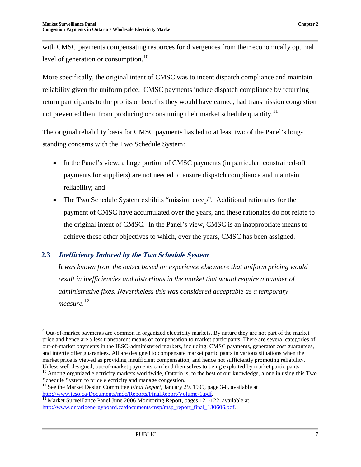with CMSC payments compensating resources for divergences from their economically optimal level of generation or consumption.<sup>[10](#page-12-1)</sup>

More specifically, the original intent of CMSC was to incent dispatch compliance and maintain reliability given the uniform price. CMSC payments induce dispatch compliance by returning return participants to the profits or benefits they would have earned, had transmission congestion not prevented them from producing or consuming their market schedule quantity.<sup>[11](#page-12-2)</sup>

The original reliability basis for CMSC payments has led to at least two of the Panel's longstanding concerns with the Two Schedule System:

- In the Panel's view, a large portion of CMSC payments (in particular, constrained-off payments for suppliers) are not needed to ensure dispatch compliance and maintain reliability; and
- The Two Schedule System exhibits "mission creep". Additional rationales for the payment of CMSC have accumulated over the years, and these rationales do not relate to the original intent of CMSC. In the Panel's view, CMSC is an inappropriate means to achieve these other objectives to which, over the years, CMSC has been assigned.

#### <span id="page-12-0"></span>**2.3 Inefficiency Induced by the Two Schedule System**

*It was known from the outset based on experience elsewhere that uniform pricing would result in inefficiencies and distortions in the market that would require a number of administrative fixes. Nevertheless this was considered acceptable as a temporary measure.* [12](#page-12-3)

<sup>&</sup>lt;sup>9</sup> Out-of-market payments are common in organized electricity markets. By nature they are not part of the market price and hence are a less transparent means of compensation to market participants. There are several categories of out-of-market payments in the IESO-administered markets, including: CMSC payments, generator cost guarantees, and intertie offer guarantees. All are designed to compensate market participants in various situations when the market price is viewed as providing insufficient compensation, and hence not sufficiently promoting reliability.<br>Unless well designed, out-of-market payments can lend themselves to being exploited by market participants.  $10$  Among organized electricity markets worldwide, Ontario is, to the best of our knowledge, alone in using this Two Schedule System to price electricity and manage congestion.

<span id="page-12-2"></span><span id="page-12-1"></span><sup>11</sup> See the Market Design Committee *Final Report*, January 29, 1999, page 3-8, available at

<span id="page-12-3"></span>[http://www.ieso.ca/Documents/mdc/Reports/FinalReport/Volume-1.pdf.](http://www.ieso.ca/Documents/mdc/Reports/FinalReport/Volume-1.pdf)<br><sup>12</sup> Market Surveillance Panel June 2006 Monitoring Report, pages 121-122, available at [http://www.ontarioenergyboard.ca/documents/msp/msp\\_report\\_final\\_130606.pdf.](http://www.ontarioenergyboard.ca/documents/msp/msp_report_final_130606.pdf)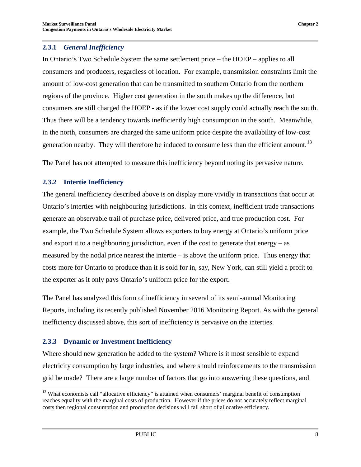<span id="page-13-0"></span>In Ontario's Two Schedule System the same settlement price – the HOEP – applies to all consumers and producers, regardless of location. For example, transmission constraints limit the amount of low-cost generation that can be transmitted to southern Ontario from the northern regions of the province. Higher cost generation in the south makes up the difference, but consumers are still charged the HOEP - as if the lower cost supply could actually reach the south. Thus there will be a tendency towards inefficiently high consumption in the south. Meanwhile, in the north, consumers are charged the same uniform price despite the availability of low-cost generation nearby. They will therefore be induced to consume less than the efficient amount.<sup>[13](#page-13-3)</sup>

The Panel has not attempted to measure this inefficiency beyond noting its pervasive nature.

#### <span id="page-13-1"></span>**2.3.2 Intertie Inefficiency**

The general inefficiency described above is on display more vividly in transactions that occur at Ontario's interties with neighbouring jurisdictions. In this context, inefficient trade transactions generate an observable trail of purchase price, delivered price, and true production cost. For example, the Two Schedule System allows exporters to buy energy at Ontario's uniform price and export it to a neighbouring jurisdiction, even if the cost to generate that energy – as measured by the nodal price nearest the intertie – is above the uniform price. Thus energy that costs more for Ontario to produce than it is sold for in, say, New York, can still yield a profit to the exporter as it only pays Ontario's uniform price for the export.

The Panel has analyzed this form of inefficiency in several of its semi-annual Monitoring Reports, including its recently published November 2016 Monitoring Report. As with the general inefficiency discussed above, this sort of inefficiency is pervasive on the interties.

#### <span id="page-13-2"></span>**2.3.3 Dynamic or Investment Inefficiency**

Where should new generation be added to the system? Where is it most sensible to expand electricity consumption by large industries, and where should reinforcements to the transmission grid be made? There are a large number of factors that go into answering these questions, and

<span id="page-13-3"></span> $<sup>13</sup>$  What economists call "allocative efficiency" is attained when consumers' marginal benefit of consumption</sup> reaches equality with the marginal costs of production. However if the prices do not accurately reflect marginal costs then regional consumption and production decisions will fall short of allocative efficiency.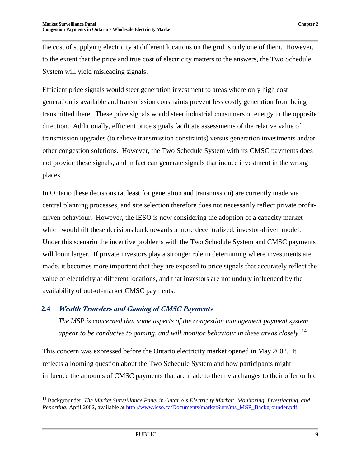the cost of supplying electricity at different locations on the grid is only one of them. However, to the extent that the price and true cost of electricity matters to the answers, the Two Schedule System will yield misleading signals.

Efficient price signals would steer generation investment to areas where only high cost generation is available and transmission constraints prevent less costly generation from being transmitted there. These price signals would steer industrial consumers of energy in the opposite direction. Additionally, efficient price signals facilitate assessments of the relative value of transmission upgrades (to relieve transmission constraints) versus generation investments and/or other congestion solutions. However, the Two Schedule System with its CMSC payments does not provide these signals, and in fact can generate signals that induce investment in the wrong places.

In Ontario these decisions (at least for generation and transmission) are currently made via central planning processes, and site selection therefore does not necessarily reflect private profitdriven behaviour. However, the IESO is now considering the adoption of a capacity market which would tilt these decisions back towards a more decentralized, investor-driven model. Under this scenario the incentive problems with the Two Schedule System and CMSC payments will loom larger. If private investors play a stronger role in determining where investments are made, it becomes more important that they are exposed to price signals that accurately reflect the value of electricity at different locations, and that investors are not unduly influenced by the availability of out-of-market CMSC payments.

#### <span id="page-14-0"></span>**2.4 Wealth Transfers and Gaming of CMSC Payments**

*The MSP is concerned that some aspects of the congestion management payment system appear to be conducive to gaming, and will monitor behaviour in these areas closely.* [14](#page-14-1)

This concern was expressed before the Ontario electricity market opened in May 2002. It reflects a looming question about the Two Schedule System and how participants might influence the amounts of CMSC payments that are made to them via changes to their offer or bid

<span id="page-14-1"></span> <sup>14</sup> Backgrounder, *The Market Surveillance Panel in Ontario's Electricity Market: Monitoring, Investigating, and Reporting*, April 2002, available at [http://www.ieso.ca/Documents/marketSurv/ms\\_MSP\\_Backgrounder.pdf.](http://www.ieso.ca/Documents/marketSurv/ms_MSP_Backgrounder.pdf)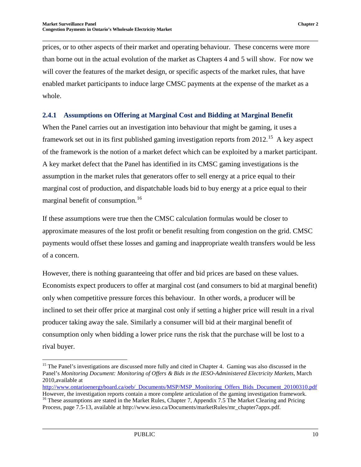prices, or to other aspects of their market and operating behaviour. These concerns were more than borne out in the actual evolution of the market as Chapters 4 and 5 will show. For now we will cover the features of the market design, or specific aspects of the market rules, that have enabled market participants to induce large CMSC payments at the expense of the market as a whole.

#### <span id="page-15-0"></span>**2.4.1 Assumptions on Offering at Marginal Cost and Bidding at Marginal Benefit**

When the Panel carries out an investigation into behaviour that might be gaming, it uses a framework set out in its first published gaming investigation reports from 2012.<sup>[15](#page-15-1)</sup> A key aspect of the framework is the notion of a market defect which can be exploited by a market participant. A key market defect that the Panel has identified in its CMSC gaming investigations is the assumption in the market rules that generators offer to sell energy at a price equal to their marginal cost of production, and dispatchable loads bid to buy energy at a price equal to their marginal benefit of consumption.<sup>16</sup>

If these assumptions were true then the CMSC calculation formulas would be closer to approximate measures of the lost profit or benefit resulting from congestion on the grid. CMSC payments would offset these losses and gaming and inappropriate wealth transfers would be less of a concern.

However, there is nothing guaranteeing that offer and bid prices are based on these values. Economists expect producers to offer at marginal cost (and consumers to bid at marginal benefit) only when competitive pressure forces this behaviour. In other words, a producer will be inclined to set their offer price at marginal cost only if setting a higher price will result in a rival producer taking away the sale. Similarly a consumer will bid at their marginal benefit of consumption only when bidding a lower price runs the risk that the purchase will be lost to a rival buyer.

<span id="page-15-1"></span><sup>&</sup>lt;sup>15</sup> The Panel's investigations are discussed more fully and cited in Chapter 4. Gaming was also discussed in the Panel's *Monitoring Document: Monitoring of Offers & Bids in the IESO-Administered Electricity Markets*, March 2010,available at

[http://www.ontarioenergyboard.ca/oeb/\\_Documents/MSP/MSP\\_Monitoring\\_Offers\\_Bids\\_Document\\_20100310.pdf](http://www.ontarioenergyboard.ca/oeb/_Documents/MSP/MSP_Monitoring_Offers_Bids_Document_20100310.pdf) However, the investigation reports contain a more complete articulation of the gaming investigation framework. <sup>16</sup> These assumptions are stated in the Market Rules, Chapter 7, Appendix 7.5 The Market Clearing and Pricing

<span id="page-15-2"></span>Process, page 7.5-13, available at http://www.ieso.ca/Documents/marketRules/mr\_chapter7appx.pdf.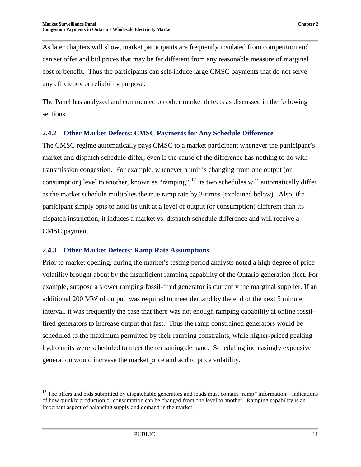As later chapters will show, market participants are frequently insulated from competition and can set offer and bid prices that may be far different from any reasonable measure of marginal cost or benefit. Thus the participants can self-induce large CMSC payments that do not serve any efficiency or reliability purpose.

The Panel has analyzed and commented on other market defects as discussed in the following sections.

#### <span id="page-16-0"></span>**2.4.2 Other Market Defects: CMSC Payments for Any Schedule Difference**

The CMSC regime automatically pays CMSC to a market participant whenever the participant's market and dispatch schedule differ, even if the cause of the difference has nothing to do with transmission congestion. For example, whenever a unit is changing from one output (or consumption) level to another, known as "ramping",  $^{17}$  $^{17}$  $^{17}$  its two schedules will automatically differ as the market schedule multiplies the true ramp rate by 3-times (explained below). Also, if a participant simply opts to hold its unit at a level of output (or consumption) different than its dispatch instruction, it induces a market vs. dispatch schedule difference and will receive a CMSC payment.

#### <span id="page-16-1"></span>**2.4.3 Other Market Defects: Ramp Rate Assumptions**

Prior to market opening, during the market's testing period analysts noted a high degree of price volatility brought about by the insufficient ramping capability of the Ontario generation fleet. For example, suppose a slower ramping fossil-fired generator is currently the marginal supplier. If an additional 200 MW of output was required to meet demand by the end of the next 5 minute interval, it was frequently the case that there was not enough ramping capability at online fossilfired generators to increase output that fast. Thus the ramp constrained generators would be scheduled to the maximum permitted by their ramping constraints, while higher-priced peaking hydro units were scheduled to meet the remaining demand. Scheduling increasingly expensive generation would increase the market price and add to price volatility.

<span id="page-16-2"></span> $17$  The offers and bids submitted by dispatchable generators and loads must contain "ramp" information – indications of how quickly production or consumption can be changed from one level to another. Ramping capability is an important aspect of balancing supply and demand in the market.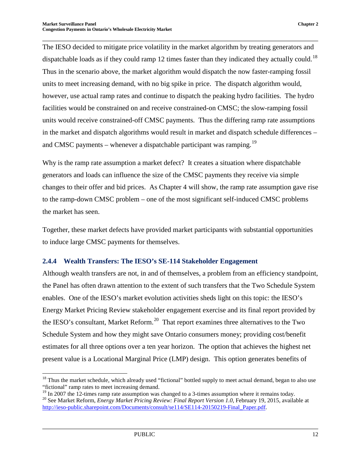The IESO decided to mitigate price volatility in the market algorithm by treating generators and dispatchable loads as if they could ramp 12 times faster than they indicated they actually could.<sup>18</sup> Thus in the scenario above, the market algorithm would dispatch the now faster-ramping fossil units to meet increasing demand, with no big spike in price. The dispatch algorithm would, however, use actual ramp rates and continue to dispatch the peaking hydro facilities. The hydro facilities would be constrained on and receive constrained-on CMSC; the slow-ramping fossil units would receive constrained-off CMSC payments. Thus the differing ramp rate assumptions in the market and dispatch algorithms would result in market and dispatch schedule differences – and CMSC payments – whenever a dispatchable participant was ramping.<sup>[19](#page-17-2)</sup>

Why is the ramp rate assumption a market defect? It creates a situation where dispatchable generators and loads can influence the size of the CMSC payments they receive via simple changes to their offer and bid prices. As Chapter 4 will show, the ramp rate assumption gave rise to the ramp-down CMSC problem – one of the most significant self-induced CMSC problems the market has seen.

Together, these market defects have provided market participants with substantial opportunities to induce large CMSC payments for themselves.

#### <span id="page-17-0"></span>**2.4.4 Wealth Transfers: The IESO's SE-114 Stakeholder Engagement**

Although wealth transfers are not, in and of themselves, a problem from an efficiency standpoint, the Panel has often drawn attention to the extent of such transfers that the Two Schedule System enables. One of the IESO's market evolution activities sheds light on this topic: the IESO's Energy Market Pricing Review stakeholder engagement exercise and its final report provided by the IESO's consultant, Market Reform.<sup>[20](#page-17-3)</sup> That report examines three alternatives to the Two Schedule System and how they might save Ontario consumers money; providing cost/benefit estimates for all three options over a ten year horizon. The option that achieves the highest net present value is a Locational Marginal Price (LMP) design. This option generates benefits of

<span id="page-17-1"></span> $18$  Thus the market schedule, which already used "fictional" bottled supply to meet actual demand, began to also use "fictional" ramp rates to meet increasing demand.<br><sup>19</sup> In 2007 the 12-times ramp rate assumption was changed to a 3-times assumption where it remains today.

<span id="page-17-3"></span><span id="page-17-2"></span><sup>&</sup>lt;sup>20</sup> See Market Reform, *Energy Market Pricing Review: Final Report Version 1.0*, February 19, 2015, available at [http://ieso-public.sharepoint.com/Documents/consult/se114/SE114-20150219-Final\\_Paper.pdf.](http://ieso-public.sharepoint.com/Documents/consult/se114/SE114-20150219-Final_Paper.pdf)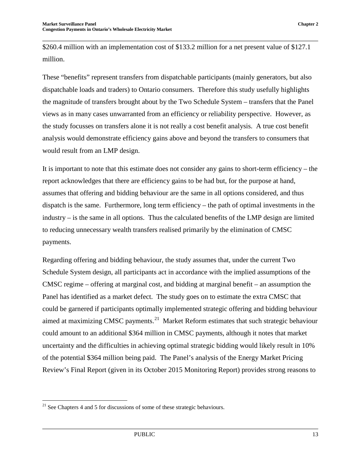\$260.4 million with an implementation cost of \$133.2 million for a net present value of \$127.1 million.

These "benefits" represent transfers from dispatchable participants (mainly generators, but also dispatchable loads and traders) to Ontario consumers. Therefore this study usefully highlights the magnitude of transfers brought about by the Two Schedule System – transfers that the Panel views as in many cases unwarranted from an efficiency or reliability perspective. However, as the study focusses on transfers alone it is not really a cost benefit analysis. A true cost benefit analysis would demonstrate efficiency gains above and beyond the transfers to consumers that would result from an LMP design.

It is important to note that this estimate does not consider any gains to short-term efficiency – the report acknowledges that there are efficiency gains to be had but, for the purpose at hand, assumes that offering and bidding behaviour are the same in all options considered, and thus dispatch is the same. Furthermore, long term efficiency – the path of optimal investments in the industry – is the same in all options. Thus the calculated benefits of the LMP design are limited to reducing unnecessary wealth transfers realised primarily by the elimination of CMSC payments.

Regarding offering and bidding behaviour, the study assumes that, under the current Two Schedule System design, all participants act in accordance with the implied assumptions of the CMSC regime – offering at marginal cost, and bidding at marginal benefit – an assumption the Panel has identified as a market defect. The study goes on to estimate the extra CMSC that could be garnered if participants optimally implemented strategic offering and bidding behaviour aimed at maximizing CMSC payments.<sup>[21](#page-18-0)</sup> Market Reform estimates that such strategic behaviour could amount to an additional \$364 million in CMSC payments, although it notes that market uncertainty and the difficulties in achieving optimal strategic bidding would likely result in 10% of the potential \$364 million being paid. The Panel's analysis of the Energy Market Pricing Review's Final Report (given in its October 2015 Monitoring Report) provides strong reasons to

<span id="page-18-0"></span> $21$  See Chapters 4 and 5 for discussions of some of these strategic behaviours.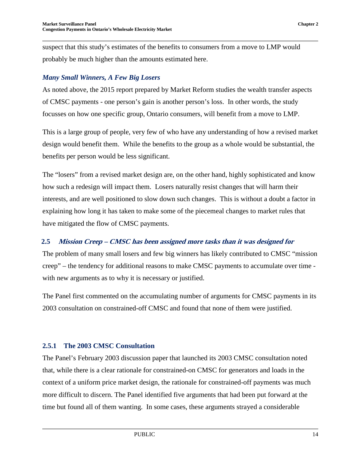suspect that this study's estimates of the benefits to consumers from a move to LMP would probably be much higher than the amounts estimated here.

#### *Many Small Winners, A Few Big Losers*

As noted above, the 2015 report prepared by Market Reform studies the wealth transfer aspects of CMSC payments - one person's gain is another person's loss. In other words, the study focusses on how one specific group, Ontario consumers, will benefit from a move to LMP.

This is a large group of people, very few of who have any understanding of how a revised market design would benefit them. While the benefits to the group as a whole would be substantial, the benefits per person would be less significant.

The "losers" from a revised market design are, on the other hand, highly sophisticated and know how such a redesign will impact them. Losers naturally resist changes that will harm their interests, and are well positioned to slow down such changes. This is without a doubt a factor in explaining how long it has taken to make some of the piecemeal changes to market rules that have mitigated the flow of CMSC payments.

#### <span id="page-19-0"></span>**2.5 Mission Creep – CMSC has been assigned more tasks than it was designed for**

The problem of many small losers and few big winners has likely contributed to CMSC "mission creep" – the tendency for additional reasons to make CMSC payments to accumulate over time with new arguments as to why it is necessary or justified.

The Panel first commented on the accumulating number of arguments for CMSC payments in its 2003 consultation on constrained-off CMSC and found that none of them were justified.

#### <span id="page-19-1"></span>**2.5.1 The 2003 CMSC Consultation**

The Panel's February 2003 discussion paper that launched its 2003 CMSC consultation noted that, while there is a clear rationale for constrained-on CMSC for generators and loads in the context of a uniform price market design, the rationale for constrained-off payments was much more difficult to discern. The Panel identified five arguments that had been put forward at the time but found all of them wanting. In some cases, these arguments strayed a considerable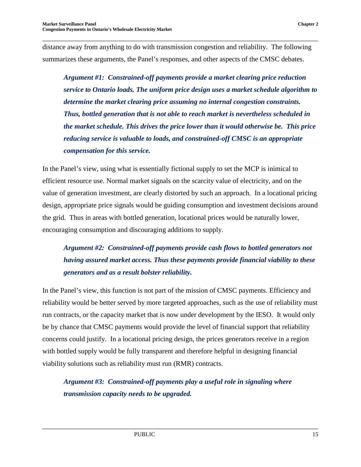distance away from anything to do with transmission congestion and reliability. The following summarizes these arguments, the Panel's responses, and other aspects of the CMSC debates.

*Argument #1: Constrained-off payments provide a market clearing price reduction service to Ontario loads. The uniform price design uses a market schedule algorithm to determine the market clearing price assuming no internal congestion constraints. Thus, bottled generation that is not able to reach market is nevertheless scheduled in the market schedule. This drives the price lower than it would otherwise be. This price reducing service is valuable to loads, and constrained-off CMSC is an appropriate compensation for this service.*

In the Panel's view, using what is essentially fictional supply to set the MCP is inimical to efficient resource use. Normal market signals on the scarcity value of electricity, and on the value of generation investment, are clearly distorted by such an approach. In a locational pricing design, appropriate price signals would be guiding consumption and investment decisions around the grid. Thus in areas with bottled generation, locational prices would be naturally lower, encouraging consumption and discouraging additions to supply.

## *Argument #2: Constrained-off payments provide cash flows to bottled generators not having assured market access. Thus these payments provide financial viability to these generators and as a result bolster reliability.*

In the Panel's view, this function is not part of the mission of CMSC payments. Efficiency and reliability would be better served by more targeted approaches, such as the use of reliability must run contracts, or the capacity market that is now under development by the IESO. It would only be by chance that CMSC payments would provide the level of financial support that reliability concerns could justify. In a locational pricing design, the prices generators receive in a region with bottled supply would be fully transparent and therefore helpful in designing financial viability solutions such as reliability must run (RMR) contracts.

*Argument #3: Constrained-off payments play a useful role in signaling where transmission capacity needs to be upgraded.*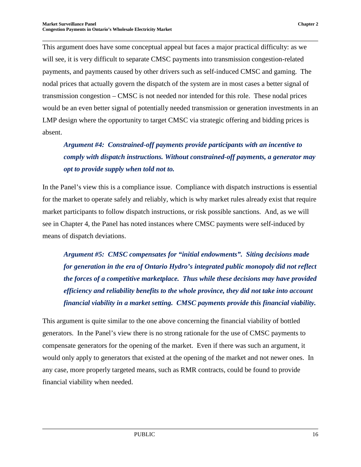This argument does have some conceptual appeal but faces a major practical difficulty: as we will see, it is very difficult to separate CMSC payments into transmission congestion-related payments, and payments caused by other drivers such as self-induced CMSC and gaming. The nodal prices that actually govern the dispatch of the system are in most cases a better signal of transmission congestion – CMSC is not needed nor intended for this role. These nodal prices would be an even better signal of potentially needed transmission or generation investments in an LMP design where the opportunity to target CMSC via strategic offering and bidding prices is absent.

*Argument #4: Constrained-off payments provide participants with an incentive to comply with dispatch instructions. Without constrained-off payments, a generator may opt to provide supply when told not to.* 

In the Panel's view this is a compliance issue. Compliance with dispatch instructions is essential for the market to operate safely and reliably, which is why market rules already exist that require market participants to follow dispatch instructions, or risk possible sanctions. And, as we will see in Chapter 4, the Panel has noted instances where CMSC payments were self-induced by means of dispatch deviations.

*Argument #5: CMSC compensates for "initial endowments". Siting decisions made for generation in the era of Ontario Hydro's integrated public monopoly did not reflect the forces of a competitive marketplace. Thus while these decisions may have provided efficiency and reliability benefits to the whole province, they did not take into account financial viability in a market setting. CMSC payments provide this financial viability.* 

<span id="page-21-0"></span>This argument is quite similar to the one above concerning the financial viability of bottled generators. In the Panel's view there is no strong rationale for the use of CMSC payments to compensate generators for the opening of the market. Even if there was such an argument, it would only apply to generators that existed at the opening of the market and not newer ones. In any case, more properly targeted means, such as RMR contracts, could be found to provide financial viability when needed.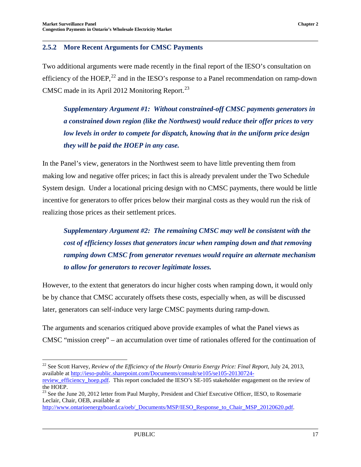Two additional arguments were made recently in the final report of the IESO's consultation on efficiency of the HOEP,<sup>[22](#page-22-0)</sup> and in the IESO's response to a Panel recommendation on ramp-down CMSC made in its April 2012 Monitoring Report.<sup>[23](#page-22-1)</sup>

*Supplementary Argument #1: Without constrained-off CMSC payments generators in a constrained down region (like the Northwest) would reduce their offer prices to very low levels in order to compete for dispatch, knowing that in the uniform price design they will be paid the HOEP in any case.*

In the Panel's view, generators in the Northwest seem to have little preventing them from making low and negative offer prices; in fact this is already prevalent under the Two Schedule System design. Under a locational pricing design with no CMSC payments, there would be little incentive for generators to offer prices below their marginal costs as they would run the risk of realizing those prices as their settlement prices.

*Supplementary Argument #2: The remaining CMSC may well be consistent with the cost of efficiency losses that generators incur when ramping down and that removing ramping down CMSC from generator revenues would require an alternate mechanism to allow for generators to recover legitimate losses.* 

However, to the extent that generators do incur higher costs when ramping down, it would only be by chance that CMSC accurately offsets these costs, especially when, as will be discussed later, generators can self-induce very large CMSC payments during ramp-down.

The arguments and scenarios critiqued above provide examples of what the Panel views as CMSC "mission creep" – an accumulation over time of rationales offered for the continuation of

<span id="page-22-0"></span><sup>&</sup>lt;sup>22</sup> See Scott Harvey, *Review of the Efficiency of the Hourly Ontario Energy Price: Final Report*, July 24, 2013, available at [http://ieso-public.sharepoint.com/Documents/consult/se105/se105-20130724-](http://ieso-public.sharepoint.com/Documents/consult/se105/se105-20130724-review_efficiency_hoep.pdf)

review efficiency hoep.pdf. This report concluded the IESO's SE-105 stakeholder engagement on the review of the HOEP.

<span id="page-22-1"></span><sup>&</sup>lt;sup>23</sup> See the June 20, 2012 letter from Paul Murphy, President and Chief Executive Officer, IESO, to Rosemarie Leclair, Chair, OEB, available at

[http://www.ontarioenergyboard.ca/oeb/\\_Documents/MSP/IESO\\_Response\\_to\\_Chair\\_MSP\\_20120620.pdf.](http://www.ontarioenergyboard.ca/oeb/_Documents/MSP/IESO_Response_to_Chair_MSP_20120620.pdf)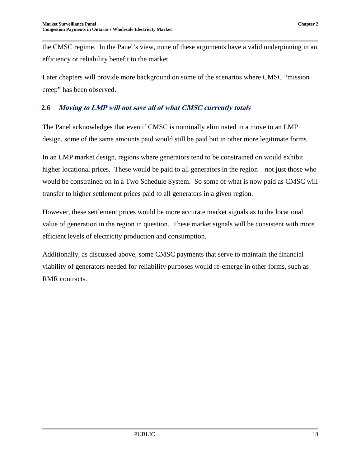the CMSC regime. In the Panel's view, none of these arguments have a valid underpinning in an efficiency or reliability benefit to the market.

Later chapters will provide more background on some of the scenarios where CMSC "mission creep" has been observed.

#### <span id="page-23-0"></span>**2.6 Moving to LMP will not save all of what CMSC currently totals**

The Panel acknowledges that even if CMSC is nominally eliminated in a move to an LMP design, some of the same amounts paid would still be paid but in other more legitimate forms.

In an LMP market design, regions where generators tend to be constrained on would exhibit higher locational prices. These would be paid to all generators in the region – not just those who would be constrained on in a Two Schedule System. So some of what is now paid as CMSC will transfer to higher settlement prices paid to all generators in a given region.

However, these settlement prices would be more accurate market signals as to the locational value of generation in the region in question. These market signals will be consistent with more efficient levels of electricity production and consumption.

Additionally, as discussed above, some CMSC payments that serve to maintain the financial viability of generators needed for reliability purposes would re-emerge in other forms, such as RMR contracts.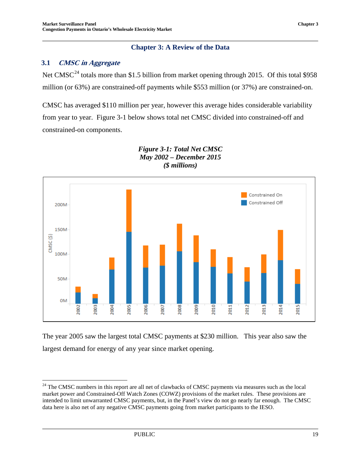#### **Chapter 3: A Review of the Data**

#### <span id="page-24-1"></span><span id="page-24-0"></span>**3.1 CMSC in Aggregate**

Net CMSC<sup>[24](#page-24-3)</sup> totals more than \$1.5 billion from market opening through 2015. Of this total \$958 million (or 63%) are constrained-off payments while \$553 million (or 37%) are constrained-on.

CMSC has averaged \$110 million per year, however this average hides considerable variability from year to year. Figure 3-1 below shows total net CMSC divided into constrained-off and constrained-on components.

<span id="page-24-2"></span>

*Figure 3-1: Total Net CMSC May 2002 – December 2015 (\$ millions)*

The year 2005 saw the largest total CMSC payments at \$230 million. This year also saw the largest demand for energy of any year since market opening.

<span id="page-24-3"></span><sup>&</sup>lt;sup>24</sup> The CMSC numbers in this report are all net of clawbacks of CMSC payments via measures such as the local market power and Constrained-Off Watch Zones (COWZ) provisions of the market rules. These provisions are intended to limit unwarranted CMSC payments, but, in the Panel's view do not go nearly far enough. The CMSC data here is also net of any negative CMSC payments going from market participants to the IESO.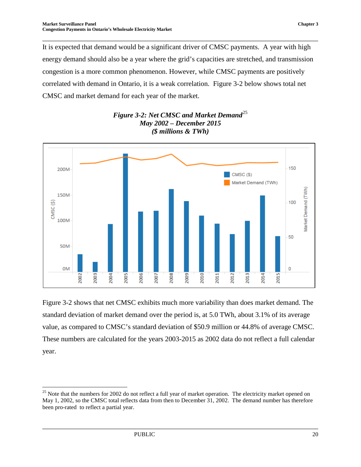It is expected that demand would be a significant driver of CMSC payments. A year with high energy demand should also be a year where the grid's capacities are stretched, and transmission congestion is a more common phenomenon. However, while CMSC payments are positively correlated with demand in Ontario, it is a weak correlation. Figure 3-2 below shows total net CMSC and market demand for each year of the market.

<span id="page-25-0"></span>

*Figure 3-2: Net CMSC and Market Demand*<sup>[25](#page-25-1)</sup> *May 2002 – December 2015 (\$ millions & TWh)*

Figure 3-2 shows that net CMSC exhibits much more variability than does market demand. The standard deviation of market demand over the period is, at 5.0 TWh, about 3.1% of its average value, as compared to CMSC's standard deviation of \$50.9 million or 44.8% of average CMSC. These numbers are calculated for the years 2003-2015 as 2002 data do not reflect a full calendar year.

<span id="page-25-1"></span> $25$  Note that the numbers for 2002 do not reflect a full year of market operation. The electricity market opened on May 1, 2002, so the CMSC total reflects data from then to December 31, 2002. The demand number has therefore been pro-rated to reflect a partial year.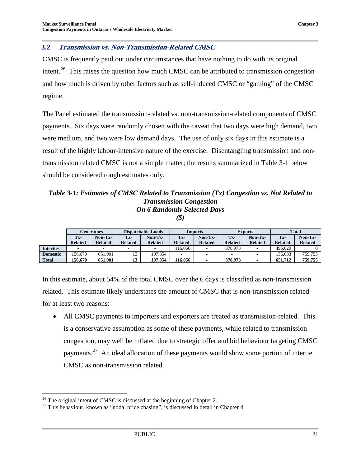#### <span id="page-26-0"></span>**3.2 Transmission vs. Non-Transmission-Related CMSC**

CMSC is frequently paid out under circumstances that have nothing to do with its original intent.<sup>[26](#page-26-2)</sup> This raises the question how much CMSC can be attributed to transmission congestion and how much is driven by other factors such as self-induced CMSC or "gaming" of the CMSC regime.

The Panel estimated the transmission-related vs. non-transmission-related components of CMSC payments. Six days were randomly chosen with the caveat that two days were high demand, two were medium, and two were low demand days. The use of only six days in this estimate is a result of the highly labour-intensive nature of the exercise. Disentangling transmission and nontransmission related CMSC is not a simple matter; the results summarized in Table 3-1 below should be considered rough estimates only.

#### <span id="page-26-1"></span>*Table 3-1: Estimates of CMSC Related to Transmission (Tx) Congestion vs. Not Related to Transmission Congestion On 6 Randomly Selected Days*

*(\$)*

|                  | Generators     |                          | <b>Dispatchable Loads</b> |                          | Imports                  |                          | <b>Exports</b> |                          | <b>Total</b>   |                |
|------------------|----------------|--------------------------|---------------------------|--------------------------|--------------------------|--------------------------|----------------|--------------------------|----------------|----------------|
|                  | Tx-            | Non-Tx-                  | Tx-                       | Non-Tx-                  | Tx-                      | Non-Tx-                  | Tx-            | Non-Tx-                  | Tx-            | Non-Tx-        |
|                  | <b>Related</b> | <b>Related</b>           | <b>Related</b>            | <b>Related</b>           | <b>Related</b>           | <b>Related</b>           | <b>Related</b> | <b>Related</b>           | <b>Related</b> | <b>Related</b> |
| <b>Interties</b> |                | $\overline{\phantom{a}}$ | $\overline{\phantom{a}}$  | $\overline{\phantom{a}}$ | 16.056                   | $\sim$                   | 378,973        | $\overline{\phantom{a}}$ | 495,029        |                |
| <b>Domestic</b>  | 156.670        | 651.901                  | 12                        | 107.854                  | $\overline{\phantom{a}}$ | $\overline{\phantom{0}}$ |                | -                        | 156.683        | 759.755        |
| <b>Total</b>     | 156.670        | 651.901                  | 13                        | 107.854                  | 116,056                  | $\overline{\phantom{a}}$ | 378,973        |                          | 651,712        | 759,755        |

In this estimate, about 54% of the total CMSC over the 6 days is classified as non-transmission related. This estimate likely understates the amount of CMSC that is non-transmission related for at least two reasons:

• All CMSC payments to importers and exporters are treated as transmission-related. This is a conservative assumption as some of these payments, while related to transmission congestion, may well be inflated due to strategic offer and bid behaviour targeting CMSC payments.<sup>27</sup> An ideal allocation of these payments would show some portion of intertie CMSC as non-transmission related.

<span id="page-26-3"></span><span id="page-26-2"></span><sup>&</sup>lt;sup>26</sup> The original intent of CMSC is discussed at the beginning of Chapter 2.<br><sup>27</sup> This behaviour, known as "nodal price chasing", is discussed in detail in Chapter 4.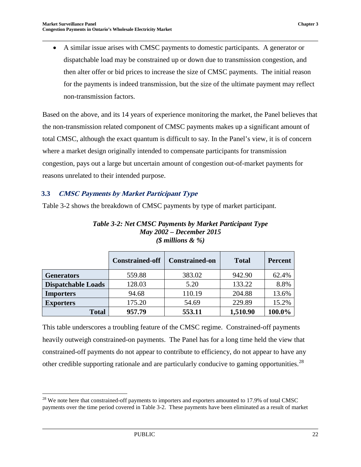• A similar issue arises with CMSC payments to domestic participants. A generator or dispatchable load may be constrained up or down due to transmission congestion, and then alter offer or bid prices to increase the size of CMSC payments. The initial reason for the payments is indeed transmission, but the size of the ultimate payment may reflect non-transmission factors.

Based on the above, and its 14 years of experience monitoring the market, the Panel believes that the non-transmission related component of CMSC payments makes up a significant amount of total CMSC, although the exact quantum is difficult to say. In the Panel's view, it is of concern where a market design originally intended to compensate participants for transmission congestion, pays out a large but uncertain amount of congestion out-of-market payments for reasons unrelated to their intended purpose.

#### <span id="page-27-0"></span>**3.3 CMSC Payments by Market Participant Type**

<span id="page-27-1"></span>Table 3-2 shows the breakdown of CMSC payments by type of market participant.

|                           | <b>Constrained-off</b> | <b>Constrained-on</b> | <b>Total</b> | <b>Percent</b> |
|---------------------------|------------------------|-----------------------|--------------|----------------|
| <b>Generators</b>         | 559.88                 | 383.02                | 942.90       | 62.4%          |
| <b>Dispatchable Loads</b> | 128.03                 | 5.20                  | 133.22       | 8.8%           |
| <b>Importers</b>          | 94.68                  | 110.19                | 204.88       | 13.6%          |
| <b>Exporters</b>          | 175.20                 | 54.69                 | 229.89       | 15.2%          |
| <b>Total</b>              | 957.79                 | 553.11                | 1,510.90     | 100.0%         |

*Table 3-2: Net CMSC Payments by Market Participant Type May 2002 – December 2015 (\$ millions & %)*

This table underscores a troubling feature of the CMSC regime. Constrained-off payments heavily outweigh constrained-on payments. The Panel has for a long time held the view that constrained-off payments do not appear to contribute to efficiency, do not appear to have any other credible supporting rationale and are particularly conducive to gaming opportunities.<sup>[28](#page-27-2)</sup>

<span id="page-27-2"></span><sup>&</sup>lt;sup>28</sup> We note here that constrained-off payments to importers and exporters amounted to 17.9% of total CMSC payments over the time period covered in Table 3-2. These payments have been eliminated as a result of market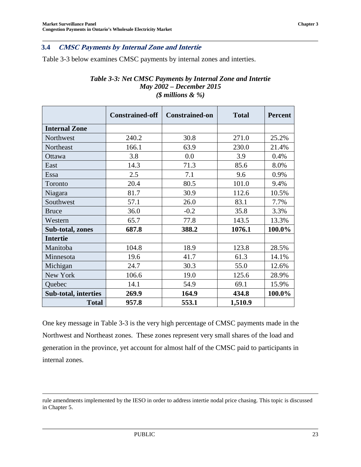#### <span id="page-28-0"></span>**3.4 CMSC Payments by Internal Zone and Intertie**

<span id="page-28-1"></span>Table 3-3 below examines CMSC payments by internal zones and interties.

| Table 3-3: Net CMSC Payments by Internal Zone and Intertie |  |  |  |  |  |
|------------------------------------------------------------|--|--|--|--|--|
| <b>May 2002 – December 2015</b>                            |  |  |  |  |  |
| (\$ millions $\& \%$ )                                     |  |  |  |  |  |

|                      | <b>Constrained-off</b> | <b>Constrained-on</b> | <b>Total</b> | <b>Percent</b> |
|----------------------|------------------------|-----------------------|--------------|----------------|
| <b>Internal Zone</b> |                        |                       |              |                |
| Northwest            | 240.2                  | 30.8                  | 271.0        | 25.2%          |
| Northeast            | 166.1                  | 63.9                  | 230.0        | 21.4%          |
| Ottawa               | 3.8                    | 0.0                   | 3.9          | 0.4%           |
| East                 | 14.3                   | 71.3                  | 85.6         | 8.0%           |
| Essa                 | 2.5                    | 7.1                   | 9.6          | 0.9%           |
| Toronto              | 20.4                   | 80.5                  | 101.0        | 9.4%           |
| Niagara              | 81.7                   | 30.9                  | 112.6        | 10.5%          |
| Southwest            | 57.1                   | 26.0                  | 83.1         | 7.7%           |
| <b>Bruce</b>         | 36.0                   | $-0.2$                | 35.8         | 3.3%           |
| Western              | 65.7                   | 77.8                  | 143.5        | 13.3%          |
| Sub-total, zones     | 687.8                  | 388.2                 | 1076.1       | 100.0%         |
| <b>Intertie</b>      |                        |                       |              |                |
| Manitoba             | 104.8                  | 18.9                  | 123.8        | 28.5%          |
| Minnesota            | 19.6                   | 41.7                  | 61.3         | 14.1%          |
| Michigan             | 24.7                   | 30.3                  | 55.0         | 12.6%          |
| New York             | 106.6                  | 19.0                  | 125.6        | 28.9%          |
| Quebec               | 14.1                   | 54.9                  | 69.1         | 15.9%          |
| Sub-total, interties | 269.9                  | 164.9                 | 434.8        | 100.0%         |
| <b>Total</b>         | 957.8                  | 553.1                 | 1,510.9      |                |

One key message in Table 3-3 is the very high percentage of CMSC payments made in the Northwest and Northeast zones. These zones represent very small shares of the load and generation in the province, yet account for almost half of the CMSC paid to participants in internal zones.

rule amendments implemented by the IESO in order to address intertie nodal price chasing. This topic is discussed in Chapter 5.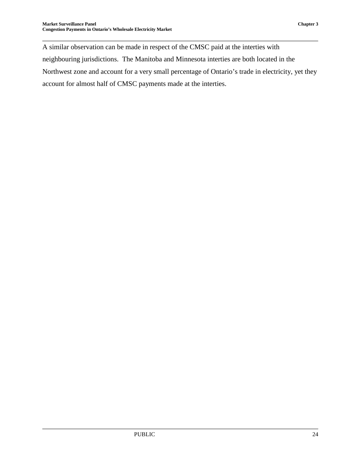A similar observation can be made in respect of the CMSC paid at the interties with neighbouring jurisdictions. The Manitoba and Minnesota interties are both located in the Northwest zone and account for a very small percentage of Ontario's trade in electricity, yet they account for almost half of CMSC payments made at the interties.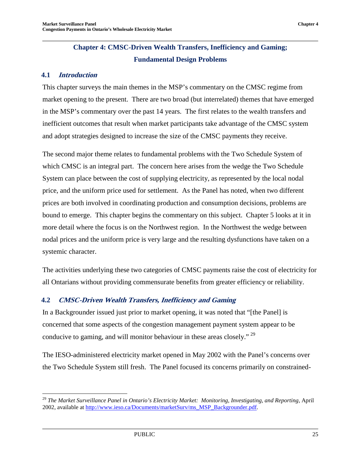### **Chapter 4: CMSC-Driven Wealth Transfers, Inefficiency and Gaming; Fundamental Design Problems**

#### <span id="page-30-1"></span><span id="page-30-0"></span>**4.1 Introduction**

This chapter surveys the main themes in the MSP's commentary on the CMSC regime from market opening to the present. There are two broad (but interrelated) themes that have emerged in the MSP's commentary over the past 14 years. The first relates to the wealth transfers and inefficient outcomes that result when market participants take advantage of the CMSC system and adopt strategies designed to increase the size of the CMSC payments they receive.

The second major theme relates to fundamental problems with the Two Schedule System of which CMSC is an integral part. The concern here arises from the wedge the Two Schedule System can place between the cost of supplying electricity, as represented by the local nodal price, and the uniform price used for settlement. As the Panel has noted, when two different prices are both involved in coordinating production and consumption decisions, problems are bound to emerge. This chapter begins the commentary on this subject. Chapter 5 looks at it in more detail where the focus is on the Northwest region. In the Northwest the wedge between nodal prices and the uniform price is very large and the resulting dysfunctions have taken on a systemic character.

The activities underlying these two categories of CMSC payments raise the cost of electricity for all Ontarians without providing commensurate benefits from greater efficiency or reliability.

#### <span id="page-30-2"></span>**4.2 CMSC-Driven Wealth Transfers, Inefficiency and Gaming**

In a Backgrounder issued just prior to market opening, it was noted that "[the Panel] is concerned that some aspects of the congestion management payment system appear to be conducive to gaming, and will monitor behaviour in these areas closely." [29](#page-30-3)

The IESO-administered electricity market opened in May 2002 with the Panel's concerns over the Two Schedule System still fresh. The Panel focused its concerns primarily on constrained-

<span id="page-30-3"></span> <sup>29</sup> *The Market Surveillance Panel in Ontario's Electricity Market: Monitoring, Investigating, and Reporting*, April 2002, available at [http://www.ieso.ca/Documents/marketSurv/ms\\_MSP\\_Backgrounder.pdf.](http://www.ieso.ca/Documents/marketSurv/ms_MSP_Backgrounder.pdf)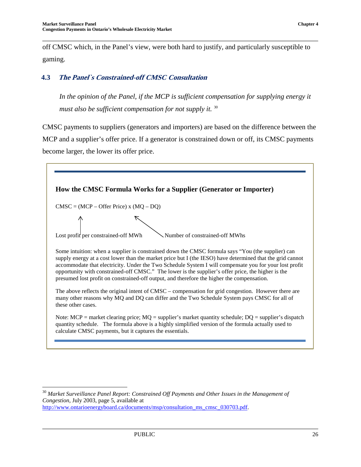off CMSC which, in the Panel's view, were both hard to justify, and particularly susceptible to gaming.

#### <span id="page-31-0"></span>**4.3 The Panel`s Constrained-off CMSC Consultation**

*In the opinion of the Panel, if the MCP is sufficient compensation for supplying energy it must also be sufficient compensation for not supply it.* [30](#page-31-1)

CMSC payments to suppliers (generators and importers) are based on the difference between the MCP and a supplier's offer price. If a generator is constrained down or off, its CMSC payments become larger, the lower its offer price.

| How the CMSC Formula Works for a Supplier (Generator or Importer) |                                                                                                                                                                                                                                                                                                                                                                                                                                                                                                                              |  |  |  |  |
|-------------------------------------------------------------------|------------------------------------------------------------------------------------------------------------------------------------------------------------------------------------------------------------------------------------------------------------------------------------------------------------------------------------------------------------------------------------------------------------------------------------------------------------------------------------------------------------------------------|--|--|--|--|
| $CMSC = (MCP - Offer Price)$ x $(MQ - DQ)$                        |                                                                                                                                                                                                                                                                                                                                                                                                                                                                                                                              |  |  |  |  |
|                                                                   |                                                                                                                                                                                                                                                                                                                                                                                                                                                                                                                              |  |  |  |  |
| Lost profit per constrained-off MWh                               | Number of constrained-off MWhs                                                                                                                                                                                                                                                                                                                                                                                                                                                                                               |  |  |  |  |
|                                                                   | Some intuition: when a supplier is constrained down the CMSC formula says "You (the supplier) can<br>supply energy at a cost lower than the market price but I (the IESO) have determined that the grid cannot<br>accommodate that electricity. Under the Two Schedule System I will compensate you for your lost profit<br>opportunity with constrained-off CMSC." The lower is the supplier's offer price, the higher is the<br>presumed lost profit on constrained-off output, and therefore the higher the compensation. |  |  |  |  |
| these other cases.                                                | The above reflects the original intent of CMSC – compensation for grid congestion. However there are<br>many other reasons why MQ and DQ can differ and the Two Schedule System pays CMSC for all of                                                                                                                                                                                                                                                                                                                         |  |  |  |  |
| calculate CMSC payments, but it captures the essentials.          | Note: MCP = market clearing price; MQ = supplier's market quantity schedule; DQ = supplier's dispatch<br>quantity schedule. The formula above is a highly simplified version of the formula actually used to                                                                                                                                                                                                                                                                                                                 |  |  |  |  |

<span id="page-31-1"></span> <sup>30</sup> *Market Surveillance Panel Report: Constrained Off Payments and Other Issues in the Management of Congestion,* July 2003, page 5, available at [http://www.ontarioenergyboard.ca/documents/msp/consultation\\_ms\\_cmsc\\_030703.pdf.](http://www.ontarioenergyboard.ca/documents/msp/consultation_ms_cmsc_030703.pdf)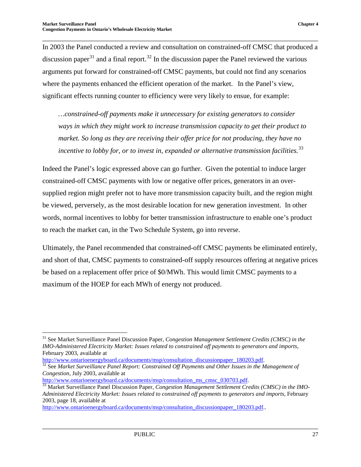In 2003 the Panel conducted a review and consultation on constrained-off CMSC that produced a discussion paper<sup>[31](#page-32-0)</sup> and a final report.<sup>[32](#page-32-1)</sup> In the discussion paper the Panel reviewed the various arguments put forward for constrained-off CMSC payments, but could not find any scenarios where the payments enhanced the efficient operation of the market. In the Panel's view, significant effects running counter to efficiency were very likely to ensue, for example:

*…constrained-off payments make it unnecessary for existing generators to consider ways in which they might work to increase transmission capacity to get their product to market. So long as they are receiving their offer price for not producing, they have no incentive to lobby for, or to invest in, expanded or alternative transmission facilities.*[33](#page-32-2)

Indeed the Panel's logic expressed above can go further. Given the potential to induce larger constrained-off CMSC payments with low or negative offer prices, generators in an oversupplied region might prefer not to have more transmission capacity built, and the region might be viewed, perversely, as the most desirable location for new generation investment. In other words, normal incentives to lobby for better transmission infrastructure to enable one's product to reach the market can, in the Two Schedule System, go into reverse.

Ultimately, the Panel recommended that constrained-off CMSC payments be eliminated entirely, and short of that, CMSC payments to constrained-off supply resources offering at negative prices be based on a replacement offer price of \$0/MWh. This would limit CMSC payments to a maximum of the HOEP for each MWh of energy not produced.

<span id="page-32-0"></span> <sup>31</sup> See Market Surveillance Panel Discussion Paper, *Congestion Management Settlement Credits (CMSC) in the IMO-Administered Electricity Market: Issues related to constrained off payments to generators and imports*,

February 2003, available at <br>http://www.ontarioenergyboard.ca/documents/msp/consultation\_discussionpaper 180203.pdf.

<span id="page-32-1"></span><sup>&</sup>lt;sup>[32](http://www.ontarioenergyboard.ca/documents/msp/consultation_discussionpaper_180203.pdf)</sup> See Market Surveillance Panel Report: Constrained Off Payments and Other Issues in the Management of *Congestion, July 2003, available at http://www.ontarioenergyboard.ca/documents/msp/consultation ms cmsc 030703.pdf.* 

<span id="page-32-2"></span><sup>&</sup>lt;sup>33</sup> Market Surveillance Panel Discussion Paper, *Congestion Management Settlement Credits (CMSC) in the IMO-Administered Electricity Market: Issues related to constrained off payments to generators and imports*, February 2003, page 18, available at

[http://www.ontarioenergyboard.ca/documents/msp/consultation\\_discussionpaper\\_180203.pdf.](http://www.ontarioenergyboard.ca/documents/msp/consultation_discussionpaper_180203.pdf)..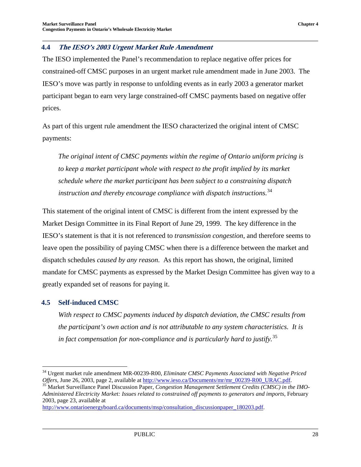#### <span id="page-33-0"></span>**4.4 The IESO's 2003 Urgent Market Rule Amendment**

The IESO implemented the Panel's recommendation to replace negative offer prices for constrained-off CMSC purposes in an urgent market rule amendment made in June 2003. The IESO's move was partly in response to unfolding events as in early 2003 a generator market participant began to earn very large constrained-off CMSC payments based on negative offer prices.

As part of this urgent rule amendment the IESO characterized the original intent of CMSC payments:

*The original intent of CMSC payments within the regime of Ontario uniform pricing is to keep a market participant whole with respect to the profit implied by its market schedule where the market participant has been subject to a constraining dispatch instruction and thereby encourage compliance with dispatch instructions.*[34](#page-33-2)

This statement of the original intent of CMSC is different from the intent expressed by the Market Design Committee in its Final Report of June 29, 1999. The key difference in the IESO's statement is that it is not referenced to *transmission congestion*, and therefore seems to leave open the possibility of paying CMSC when there is a difference between the market and dispatch schedules *caused by any reason*. As this report has shown, the original, limited mandate for CMSC payments as expressed by the Market Design Committee has given way to a greatly expanded set of reasons for paying it.

#### <span id="page-33-1"></span>**4.5 Self-induced CMSC**

*With respect to CMSC payments induced by dispatch deviation, the CMSC results from the participant's own action and is not attributable to any system characteristics. It is in fact compensation for non-compliance and is particularly hard to justify.*[35](#page-33-3)

<span id="page-33-2"></span> <sup>34</sup> Urgent market rule amendment MR-00239-R00, *Eliminate CMSC Payments Associated with Negative Priced Offers, June 26, 2003, page 2, available at [http://www.ieso.ca/Documents/mr/mr\\_00239-R00\\_URAC.pdf.](http://www.ieso.ca/Documents/mr/mr_00239-R00_URAC.pdf)*  $^{35}$  Market Surveillance Panel Discussion Paper, *Congestion Management Settlement Credits (CMSC) in the IMO-*

<span id="page-33-3"></span>*Administered Electricity Market: Issues related to constrained off payments to generators and imports*, February 2003, page 23, available at

[http://www.ontarioenergyboard.ca/documents/msp/consultation\\_discussionpaper\\_180203.pdf.](http://www.ontarioenergyboard.ca/documents/msp/consultation_discussionpaper_180203.pdf)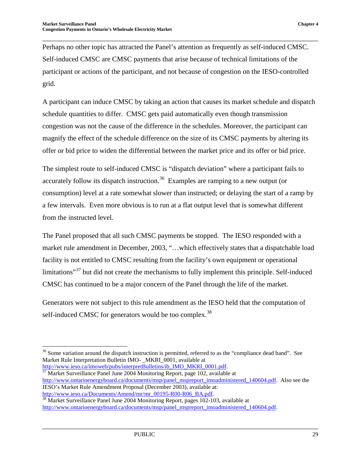Perhaps no other topic has attracted the Panel's attention as frequently as self-induced CMSC. Self-induced CMSC are CMSC payments that arise because of technical limitations of the participant or actions of the participant, and not because of congestion on the IESO-controlled grid.

A participant can induce CMSC by taking an action that causes its market schedule and dispatch schedule quantities to differ. CMSC gets paid automatically even though transmission congestion was not the cause of the difference in the schedules. Moreover, the participant can magnify the effect of the schedule difference on the size of its CMSC payments by altering its offer or bid price to widen the differential between the market price and its offer or bid price.

The simplest route to self-induced CMSC is "dispatch deviation" where a participant fails to accurately follow its dispatch instruction.<sup>[36](#page-34-0)</sup> Examples are ramping to a new output (or consumption) level at a rate somewhat slower than instructed; or delaying the start of a ramp by a few intervals. Even more obvious is to run at a flat output level that is somewhat different from the instructed level.

The Panel proposed that all such CMSC payments be stopped. The IESO responded with a market rule amendment in December, 2003, "…which effectively states that a dispatchable load facility is not entitled to CMSC resulting from the facility's own equipment or operational limitations"<sup>[37](#page-34-1)</sup> but did not create the mechanisms to fully implement this principle. Self-induced CMSC has continued to be a major concern of the Panel through the life of the market.

Generators were not subject to this rule amendment as the IESO held that the computation of self-induced CMSC for generators would be too complex.<sup>[38](#page-34-2)</sup>

<span id="page-34-1"></span> $\frac{37}{37}$  $\frac{37}{37}$  $\frac{37}{37}$  Market Surveillance Panel June 2004 Monitoring Report, page 102, available at [http://www.ontarioenergyboard.ca/documents/msp/panel\\_mspreport\\_imoadministered\\_140604.pdf.](http://www.ontarioenergyboard.ca/documents/msp/panel_mspreport_imoadministered_140604.pdf) Also see the IESO's Market Rule Amendment Proposal (December 2003), available at:

<span id="page-34-0"></span><sup>&</sup>lt;sup>36</sup> Some variation around the dispatch instruction is permitted, referred to as the "compliance dead band". See Market Rule Interpretation Bulletin IMO-\_MKRI\_0001, available at http://www.ieso.ca/imoweb/pubs/interpretBulletins/ib IMO MKRI 0001.pdf.

<span id="page-34-2"></span>[http://www.ieso.ca/Documents/Amend/mr/mr\\_00195-R00-R06\\_BA.pdf.](http://www.ieso.ca/Documents/Amend/mr/mr_00195-R00-R06_BA.pdf)<br><sup>[38](http://www.ieso.ca/Documents/Amend/mr/mr_00195-R00-R06_BA.pdf)</sup> Market Surveillance Panel June 2004 Monitoring Report, pages 102-103, available at [http://www.ontarioenergyboard.ca/documents/msp/panel\\_mspreport\\_imoadministered\\_140604.pdf.](http://www.ontarioenergyboard.ca/documents/msp/panel_mspreport_imoadministered_140604.pdf)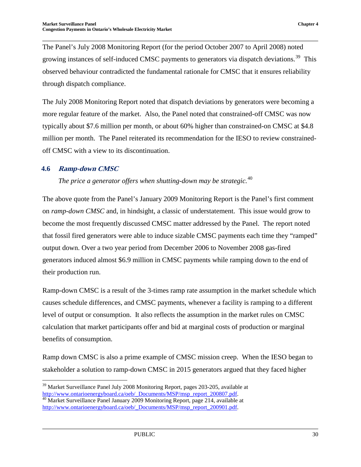The Panel's July 2008 Monitoring Report (for the period October 2007 to April 2008) noted growing instances of self-induced CMSC payments to generators via dispatch deviations.<sup>39</sup> This observed behaviour contradicted the fundamental rationale for CMSC that it ensures reliability through dispatch compliance.

The July 2008 Monitoring Report noted that dispatch deviations by generators were becoming a more regular feature of the market. Also, the Panel noted that constrained-off CMSC was now typically about \$7.6 million per month, or about 60% higher than constrained-on CMSC at \$4.8 million per month. The Panel reiterated its recommendation for the IESO to review constrainedoff CMSC with a view to its discontinuation.

#### <span id="page-35-0"></span>**4.6 Ramp-down CMSC**

*The price a generator offers when shutting-down may be strategic.*[40](#page-35-2)

The above quote from the Panel's January 2009 Monitoring Report is the Panel's first comment on *ramp-down CMSC* and, in hindsight, a classic of understatement. This issue would grow to become the most frequently discussed CMSC matter addressed by the Panel. The report noted that fossil fired generators were able to induce sizable CMSC payments each time they "ramped" output down. Over a two year period from December 2006 to November 2008 gas-fired generators induced almost \$6.9 million in CMSC payments while ramping down to the end of their production run.

Ramp-down CMSC is a result of the 3-times ramp rate assumption in the market schedule which causes schedule differences, and CMSC payments, whenever a facility is ramping to a different level of output or consumption. It also reflects the assumption in the market rules on CMSC calculation that market participants offer and bid at marginal costs of production or marginal benefits of consumption.

Ramp down CMSC is also a prime example of CMSC mission creep. When the IESO began to stakeholder a solution to ramp-down CMSC in 2015 generators argued that they faced higher

<span id="page-35-1"></span><sup>&</sup>lt;sup>39</sup> Market Surveillance Panel July 2008 Monitoring Report, pages 203-205, available at [http://www.ontarioenergyboard.ca/oeb/\\_Documents/MSP/msp\\_report\\_200807.pdf.](http://www.ontarioenergyboard.ca/oeb/_Documents/MSP/msp_report_200807.pdf) 40 Market Surveillance Panel January 2009 Monitoring Report, page 214, available at

<span id="page-35-2"></span>[http://www.ontarioenergyboard.ca/oeb/\\_Documents/MSP/msp\\_report\\_200901.pdf.](http://www.ontarioenergyboard.ca/oeb/_Documents/MSP/msp_report_200901.pdf)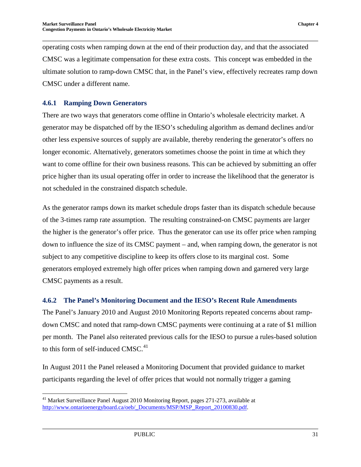operating costs when ramping down at the end of their production day, and that the associated CMSC was a legitimate compensation for these extra costs. This concept was embedded in the ultimate solution to ramp-down CMSC that, in the Panel's view, effectively recreates ramp down CMSC under a different name.

#### <span id="page-36-0"></span>**4.6.1 Ramping Down Generators**

There are two ways that generators come offline in Ontario's wholesale electricity market. A generator may be dispatched off by the IESO's scheduling algorithm as demand declines and/or other less expensive sources of supply are available, thereby rendering the generator's offers no longer economic. Alternatively, generators sometimes choose the point in time at which they want to come offline for their own business reasons. This can be achieved by submitting an offer price higher than its usual operating offer in order to increase the likelihood that the generator is not scheduled in the constrained dispatch schedule.

As the generator ramps down its market schedule drops faster than its dispatch schedule because of the 3-times ramp rate assumption. The resulting constrained-on CMSC payments are larger the higher is the generator's offer price. Thus the generator can use its offer price when ramping down to influence the size of its CMSC payment – and, when ramping down, the generator is not subject to any competitive discipline to keep its offers close to its marginal cost. Some generators employed extremely high offer prices when ramping down and garnered very large CMSC payments as a result.

#### <span id="page-36-1"></span>**4.6.2 The Panel's Monitoring Document and the IESO's Recent Rule Amendments**

The Panel's January 2010 and August 2010 Monitoring Reports repeated concerns about rampdown CMSC and noted that ramp-down CMSC payments were continuing at a rate of \$1 million per month. The Panel also reiterated previous calls for the IESO to pursue a rules-based solution to this form of self-induced CMSC. $41$ 

In August 2011 the Panel released a Monitoring Document that provided guidance to market participants regarding the level of offer prices that would not normally trigger a gaming

<span id="page-36-2"></span><sup>&</sup>lt;sup>41</sup> Market Surveillance Panel August 2010 Monitoring Report, pages 271-273, available at [http://www.ontarioenergyboard.ca/oeb/\\_Documents/MSP/MSP\\_Report\\_20100830.pdf.](http://www.ontarioenergyboard.ca/oeb/_Documents/MSP/MSP_Report_20100830.pdf)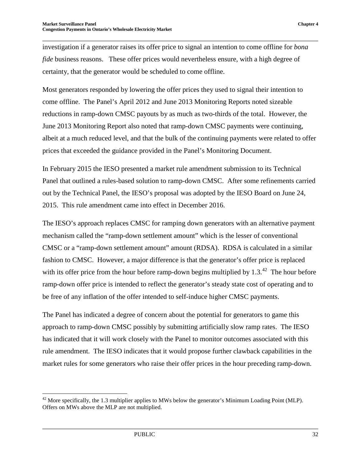investigation if a generator raises its offer price to signal an intention to come offline for *bona fide* business reasons. These offer prices would nevertheless ensure, with a high degree of certainty, that the generator would be scheduled to come offline.

Most generators responded by lowering the offer prices they used to signal their intention to come offline. The Panel's April 2012 and June 2013 Monitoring Reports noted sizeable reductions in ramp-down CMSC payouts by as much as two-thirds of the total. However, the June 2013 Monitoring Report also noted that ramp-down CMSC payments were continuing, albeit at a much reduced level, and that the bulk of the continuing payments were related to offer prices that exceeded the guidance provided in the Panel's Monitoring Document.

In February 2015 the IESO presented a market rule amendment submission to its Technical Panel that outlined a rules-based solution to ramp-down CMSC. After some refinements carried out by the Technical Panel, the IESO's proposal was adopted by the IESO Board on June 24, 2015. This rule amendment came into effect in December 2016.

The IESO's approach replaces CMSC for ramping down generators with an alternative payment mechanism called the "ramp-down settlement amount" which is the lesser of conventional CMSC or a "ramp-down settlement amount" amount (RDSA). RDSA is calculated in a similar fashion to CMSC. However, a major difference is that the generator's offer price is replaced with its offer price from the hour before ramp-down begins multiplied by  $1.3<sup>42</sup>$  $1.3<sup>42</sup>$  $1.3<sup>42</sup>$ . The hour before ramp-down offer price is intended to reflect the generator's steady state cost of operating and to be free of any inflation of the offer intended to self-induce higher CMSC payments.

The Panel has indicated a degree of concern about the potential for generators to game this approach to ramp-down CMSC possibly by submitting artificially slow ramp rates. The IESO has indicated that it will work closely with the Panel to monitor outcomes associated with this rule amendment. The IESO indicates that it would propose further clawback capabilities in the market rules for some generators who raise their offer prices in the hour preceding ramp-down.

<span id="page-37-0"></span> $42$  More specifically, the 1.3 multiplier applies to MWs below the generator's Minimum Loading Point (MLP). Offers on MWs above the MLP are not multiplied.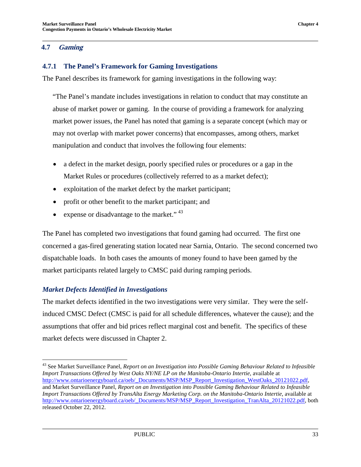#### <span id="page-38-0"></span>**4.7 Gaming**

#### <span id="page-38-1"></span>**4.7.1 The Panel's Framework for Gaming Investigations**

The Panel describes its framework for gaming investigations in the following way:

"The Panel's mandate includes investigations in relation to conduct that may constitute an abuse of market power or gaming. In the course of providing a framework for analyzing market power issues, the Panel has noted that gaming is a separate concept (which may or may not overlap with market power concerns) that encompasses, among others, market manipulation and conduct that involves the following four elements:

- a defect in the market design, poorly specified rules or procedures or a gap in the Market Rules or procedures (collectively referred to as a market defect);
- exploitation of the market defect by the market participant;
- profit or other benefit to the market participant; and
- expense or disadvantage to the market."<sup>[43](#page-38-2)</sup>

The Panel has completed two investigations that found gaming had occurred. The first one concerned a gas-fired generating station located near Sarnia, Ontario. The second concerned two dispatchable loads. In both cases the amounts of money found to have been gamed by the market participants related largely to CMSC paid during ramping periods.

#### *Market Defects Identified in Investigations*

The market defects identified in the two investigations were very similar. They were the selfinduced CMSC Defect (CMSC is paid for all schedule differences, whatever the cause); and the assumptions that offer and bid prices reflect marginal cost and benefit. The specifics of these market defects were discussed in Chapter 2.

<span id="page-38-2"></span> <sup>43</sup> See Market Surveillance Panel, *Report on an Investigation into Possible Gaming Behaviour Related to Infeasible Import Transactions Offered by West Oaks NY/NE LP on the Manitoba-Ontario Intertie*, available at [http://www.ontarioenergyboard.ca/oeb/\\_Documents/MSP/MSP\\_Report\\_Investigation\\_WestOaks\\_20121022.pdf,](http://www.ontarioenergyboard.ca/oeb/_Documents/MSP/MSP_Report_Investigation_WestOaks_20121022.pdf) and Market Surveillance Panel, *Report on an Investigation into Possible Gaming Behaviour Related to Infeasible Import Transactions Offered by TransAlta Energy Marketing Corp. on the Manitoba-Ontario Intertie*, available at [http://www.ontarioenergyboard.ca/oeb/\\_Documents/MSP/MSP\\_Report\\_Investigation\\_TranAlta\\_20121022.pdf,](http://www.ontarioenergyboard.ca/oeb/_Documents/MSP/MSP_Report_Investigation_TranAlta_20121022.pdf) both released October 22, 2012.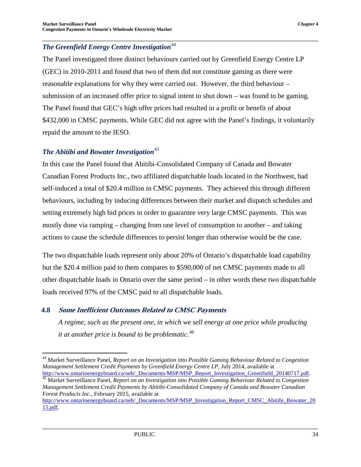## *The Greenfield Energy Centre Investigation*<sup>[44](#page-39-1)</sup>

The Panel investigated three distinct behaviours carried out by Greenfield Energy Centre LP (GEC) in 2010-2011 and found that two of them did not constitute gaming as there were reasonable explanations for why they were carried out. However, the third behaviour – submission of an increased offer price to signal intent to shut down – was found to be gaming. The Panel found that GEC's high offer prices had resulted in a profit or benefit of about \$432,000 in CMSC payments. While GEC did not agree with the Panel's findings, it voluntarily repaid the amount to the IESO.

#### *The Abitibi and Bowater Investigation*<sup>[45](#page-39-2)</sup>

In this case the Panel found that Abitibi-Consolidated Company of Canada and Bowater Canadian Forest Products Inc., two affiliated dispatchable loads located in the Northwest, had self-induced a total of \$20.4 million in CMSC payments. They achieved this through different behaviours, including by inducing differences between their market and dispatch schedules and setting extremely high bid prices in order to guarantee very large CMSC payments. This was mostly done via ramping – changing from one level of consumption to another – and taking actions to cause the schedule differences to persist longer than otherwise would be the case.

The two dispatchable loads represent only about 20% of Ontario's dispatchable load capability but the \$20.4 million paid to them compares to \$590,000 of net CMSC payments made to all other dispatchable loads in Ontario over the same period – in other words these two dispatchable loads received 97% of the CMSC paid to all dispatchable loads.

#### <span id="page-39-3"></span><span id="page-39-0"></span>**4.8 Some Inefficient Outcomes Related to CMSC Payments**

*A regime, such as the present one, in which we sell energy at one price while producing it at another price is bound to be problematic.*[46](#page-39-3)

<span id="page-39-1"></span><sup>&</sup>lt;sup>44</sup> Market Surveillance Panel, *Report on an Investigation into Possible Gaming Behaviour Related to Congestion Management Settlement Credit Payments by Greenfield Energy Centre LP*, July 2014, available at http://www.ontarioenergyboard.ca/oeb/ Documents/MSP/MSP Report Investigation Greenfield 20140717.pdf.

<span id="page-39-2"></span><sup>&</sup>lt;sup>[45](http://www.ontarioenergyboard.ca/oeb/_Documents/MSP/MSP_Report_Investigation_Greenfield_20140717.pdf)</sup> Market Surveillance Panel, Report on an Investigation into Possible Gaming Behaviour Related to Congestion *Management Settlement Credit Payments by Abitibi-Consolidated Company of Canada and Bowater Canadian Forest Products Inc.*, February 2015, available at

[http://www.ontarioenergyboard.ca/oeb/\\_Documents/MSP/MSP\\_Investigation\\_Report\\_CMSC\\_Abitibi\\_Bowater\\_20](http://www.ontarioenergyboard.ca/oeb/_Documents/MSP/MSP_Investigation_Report_CMSC_Abitibi_Bowater_2015.pdf) [15.pdf.](http://www.ontarioenergyboard.ca/oeb/_Documents/MSP/MSP_Investigation_Report_CMSC_Abitibi_Bowater_2015.pdf)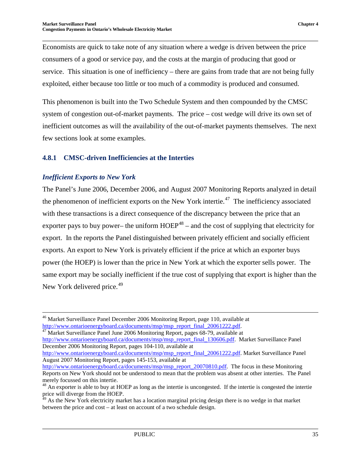Economists are quick to take note of any situation where a wedge is driven between the price consumers of a good or service pay, and the costs at the margin of producing that good or service. This situation is one of inefficiency – there are gains from trade that are not being fully exploited, either because too little or too much of a commodity is produced and consumed.

This phenomenon is built into the Two Schedule System and then compounded by the CMSC system of congestion out-of-market payments. The price – cost wedge will drive its own set of inefficient outcomes as will the availability of the out-of-market payments themselves. The next few sections look at some examples.

#### <span id="page-40-0"></span>**4.8.1 CMSC-driven Inefficiencies at the Interties**

#### *Inefficient Exports to New York*

The Panel's June 2006, December 2006, and August 2007 Monitoring Reports analyzed in detail the phenomenon of inefficient exports on the New York intertie.<sup> $47$ </sup> The inefficiency associated with these transactions is a direct consequence of the discrepancy between the price that an exporter pays to buy power– the uniform  $HOEP<sup>48</sup>$  $HOEP<sup>48</sup>$  $HOEP<sup>48</sup>$  – and the cost of supplying that electricity for export. In the reports the Panel distinguished between privately efficient and socially efficient exports. An export to New York is privately efficient if the price at which an exporter buys power (the HOEP) is lower than the price in New York at which the exporter sells power. The same export may be socially inefficient if the true cost of supplying that export is higher than the New York delivered price.<sup>[49](#page-40-3)</sup>

<span id="page-40-1"></span> $\frac{47}{47}$  Market Surveillance Panel June 2006 Monitoring Report, pages 68-79, available at

[http://www.ontarioenergyboard.ca/documents/msp/msp\\_report\\_final\\_130606.pdf.](http://www.ontarioenergyboard.ca/documents/msp/msp_report_final_130606.pdf) Market Surveillance Panel December 2006 Monitoring Report, pages 104-110, available at

[http://www.ontarioenergyboard.ca/documents/msp/msp\\_report\\_final\\_20061222.pdf.](http://www.ontarioenergyboard.ca/documents/msp/msp_report_final_20061222.pdf) Market Surveillance Panel August 2007 Monitoring Report, pages 145-153, available at

<sup>&</sup>lt;sup>46</sup> Market Surveillance Panel December 2006 Monitoring Report, page 110, available at  $\frac{http://www.ontarioenergyboard.ca/documents/msp/msp$  report final 20061222.pdf.

[http://www.ontarioenergyboard.ca/documents/msp/msp\\_report\\_20070810.pdf.](http://www.ontarioenergyboard.ca/documents/msp/msp_report_20070810.pdf) The focus in these Monitoring Reports on New York should not be understood to mean that the problem was absent at other interties. The Panel merely focussed on this intertie.

<span id="page-40-2"></span> $48$  An exporter is able to buy at HOEP as long as the intertie is uncongested. If the intertie is congested the intertie price will diverge from the HOEP.

<span id="page-40-3"></span> $^{49}$  As the New York electricity market has a location marginal pricing design there is no wedge in that market between the price and cost – at least on account of a two schedule design.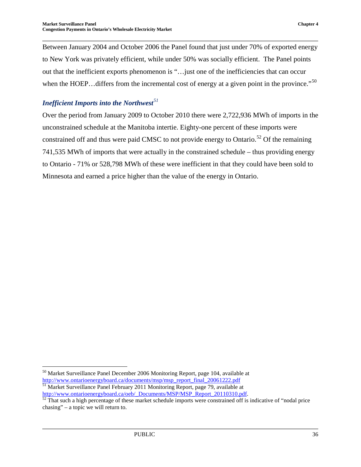Between January 2004 and October 2006 the Panel found that just under 70% of exported energy to New York was privately efficient, while under 50% was socially efficient. The Panel points out that the inefficient exports phenomenon is "…just one of the inefficiencies that can occur when the HOEP... differs from the incremental cost of energy at a given point in the province."<sup>[50](#page-41-0)</sup>

#### *Inefficient Imports into the Northwest[51](#page-41-1)*

Over the period from January 2009 to October 2010 there were 2,722,936 MWh of imports in the unconstrained schedule at the Manitoba intertie. Eighty-one percent of these imports were constrained off and thus were paid CMSC to not provide energy to Ontario.<sup>[52](#page-41-2)</sup> Of the remaining 741,535 MWh of imports that were actually in the constrained schedule – thus providing energy to Ontario - 71% or 528,798 MWh of these were inefficient in that they could have been sold to Minnesota and earned a price higher than the value of the energy in Ontario.

<span id="page-41-0"></span> <sup>50</sup> Market Surveillance Panel December 2006 Monitoring Report, page 104, available at [http://www.ontarioenergyboard.ca/documents/msp/msp\\_report\\_final\\_20061222.pdf](http://www.ontarioenergyboard.ca/documents/msp/msp_report_final_20061222.pdf) <sup>51</sup> Market Surveillance Panel February 2011 Monitoring Report, page 79, available at

<span id="page-41-2"></span><span id="page-41-1"></span>[http://www.ontarioenergyboard.ca/oeb/\\_Documents/MSP/MSP\\_Report\\_20110310.pdf.](http://www.ontarioenergyboard.ca/oeb/_Documents/MSP/MSP_Report_20110310.pdf)<br><sup>[52](http://www.ontarioenergyboard.ca/oeb/_Documents/MSP/MSP_Report_20110310.pdf)</sup> That such a high percentage of these market schedule imports were constrained off is indicative of "nodal price chasing" – a topic we will return to.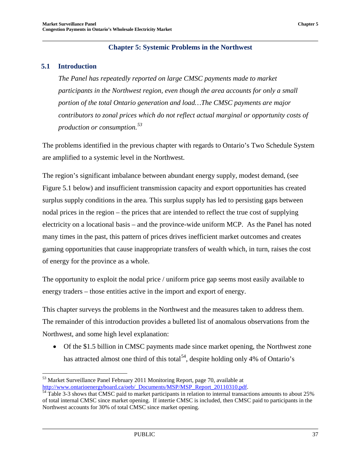#### **Chapter 5: Systemic Problems in the Northwest**

#### <span id="page-42-1"></span><span id="page-42-0"></span>**5.1 Introduction**

*The Panel has repeatedly reported on large CMSC payments made to market participants in the Northwest region, even though the area accounts for only a small portion of the total Ontario generation and load…The CMSC payments are major contributors to zonal prices which do not reflect actual marginal or opportunity costs of production or consumption.[53](#page-42-2)*

The problems identified in the previous chapter with regards to Ontario's Two Schedule System are amplified to a systemic level in the Northwest.

The region's significant imbalance between abundant energy supply, modest demand, (see Figure 5.1 below) and insufficient transmission capacity and export opportunities has created surplus supply conditions in the area. This surplus supply has led to persisting gaps between nodal prices in the region – the prices that are intended to reflect the true cost of supplying electricity on a locational basis – and the province-wide uniform MCP. As the Panel has noted many times in the past, this pattern of prices drives inefficient market outcomes and creates gaming opportunities that cause inappropriate transfers of wealth which, in turn, raises the cost of energy for the province as a whole.

The opportunity to exploit the nodal price / uniform price gap seems most easily available to energy traders – those entities active in the import and export of energy.

This chapter surveys the problems in the Northwest and the measures taken to address them. The remainder of this introduction provides a bulleted list of anomalous observations from the Northwest, and some high level explanation:

• Of the \$1.5 billion in CMSC payments made since market opening, the Northwest zone has attracted almost one third of this total<sup>54</sup>, despite holding only 4% of Ontario's

<span id="page-42-2"></span> $^{53}$  Market Surveillance Panel February 2011 Monitoring Report, page 70, available at http://www.ontarioenergyboard.ca/oeb/\_Documents/MSP/MSP\_Report\_20110310.pdf.

<span id="page-42-3"></span> $\frac{54}{100}$  $\frac{54}{100}$  $\frac{54}{100}$  Table 3-3 shows that CMSC paid to market participants in relation to internal transactions amounts to about 25% of total internal CMSC since market opening. If intertie CMSC is included, then CMSC paid to participants in the Northwest accounts for 30% of total CMSC since market opening.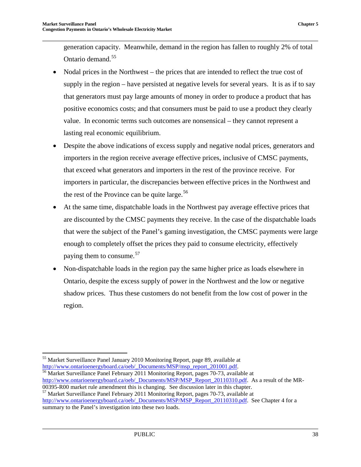generation capacity. Meanwhile, demand in the region has fallen to roughly 2% of total Ontario demand. [55](#page-43-0)

- Nodal prices in the Northwest the prices that are intended to reflect the true cost of supply in the region – have persisted at negative levels for several years. It is as if to say that generators must pay large amounts of money in order to produce a product that has positive economics costs; and that consumers must be paid to use a product they clearly value. In economic terms such outcomes are nonsensical – they cannot represent a lasting real economic equilibrium.
- Despite the above indications of excess supply and negative nodal prices, generators and importers in the region receive average effective prices, inclusive of CMSC payments, that exceed what generators and importers in the rest of the province receive. For importers in particular, the discrepancies between effective prices in the Northwest and the rest of the Province can be quite large.  $56$
- At the same time, dispatchable loads in the Northwest pay average effective prices that are discounted by the CMSC payments they receive. In the case of the dispatchable loads that were the subject of the Panel's gaming investigation, the CMSC payments were large enough to completely offset the prices they paid to consume electricity, effectively paying them to consume.<sup>[57](#page-43-2)</sup>
- Non-dispatchable loads in the region pay the same higher price as loads elsewhere in Ontario, despite the excess supply of power in the Northwest and the low or negative shadow prices. Thus these customers do not benefit from the low cost of power in the region.

<span id="page-43-0"></span><sup>&</sup>lt;sup>55</sup> Market Surveillance Panel January 2010 Monitoring Report, page 89, available at  $\frac{http://www.ontarioenergyboard.ca/oeb/~Documents/MSP/msp$  report 201001.pdf.

<span id="page-43-1"></span> $\frac{56}{26}$  $\frac{56}{26}$  $\frac{56}{26}$  Market Surveillance Panel February 2011 Monitoring Report, pages 70-73, available at [http://www.ontarioenergyboard.ca/oeb/\\_Documents/MSP/MSP\\_Report\\_20110310.pdf.](http://www.ontarioenergyboard.ca/oeb/_Documents/MSP/MSP_Report_20110310.pdf) As a result of the MR-00395-R00 market rule amendment this is changing. See discussion later in this chapter.

<span id="page-43-2"></span><sup>&</sup>lt;sup>57</sup> Market Surveillance Panel February 2011 Monitoring Report, pages 70-73, available at [http://www.ontarioenergyboard.ca/oeb/\\_Documents/MSP/MSP\\_Report\\_20110310.pdf.](http://www.ontarioenergyboard.ca/oeb/_Documents/MSP/MSP_Report_20110310.pdf) See Chapter 4 for a summary to the Panel's investigation into these two loads.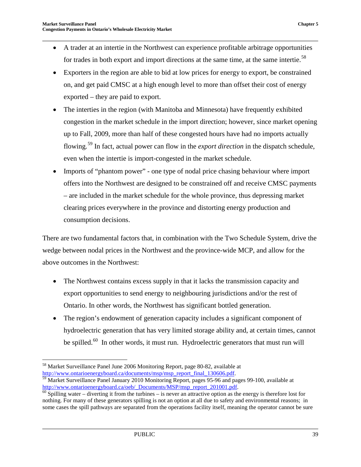- A trader at an intertie in the Northwest can experience profitable arbitrage opportunities for trades in both export and import directions at the same time, at the same intertie.<sup>[58](#page-44-0)</sup>
- Exporters in the region are able to bid at low prices for energy to export, be constrained on, and get paid CMSC at a high enough level to more than offset their cost of energy exported – they are paid to export.
- The interties in the region (with Manitoba and Minnesota) have frequently exhibited congestion in the market schedule in the import direction; however, since market opening up to Fall, 2009, more than half of these congested hours have had no imports actually flowing.[59](#page-44-1) In fact, actual power can flow in the *export direction* in the dispatch schedule, even when the intertie is import-congested in the market schedule.
- Imports of "phantom power" one type of nodal price chasing behaviour where import offers into the Northwest are designed to be constrained off and receive CMSC payments – are included in the market schedule for the whole province, thus depressing market clearing prices everywhere in the province and distorting energy production and consumption decisions.

There are two fundamental factors that, in combination with the Two Schedule System, drive the wedge between nodal prices in the Northwest and the province-wide MCP, and allow for the above outcomes in the Northwest:

- The Northwest contains excess supply in that it lacks the transmission capacity and export opportunities to send energy to neighbouring jurisdictions and/or the rest of Ontario. In other words, the Northwest has significant bottled generation.
- The region's endowment of generation capacity includes a significant component of hydroelectric generation that has very limited storage ability and, at certain times, cannot be spilled.<sup>60</sup> In other words, it must run. Hydroelectric generators that must run will

<span id="page-44-0"></span><sup>&</sup>lt;sup>58</sup> Market Surveillance Panel June 2006 Monitoring Report, page 80-82, available at http://www.ontarioenergyboard.ca/documents/msp/msp report final 130606.pdf.

<span id="page-44-1"></span><sup>&</sup>lt;sup>59</sup> Market Surveillance Panel January 2010 Monitoring Report, pages 95-96 and pages 99-100, available at http://www.ontarioenergyboard.ca/oeb/\_Documents/MSP/msp\_report\_201001.pdf.

<span id="page-44-2"></span> $\frac{60}{100}$  Spilling water – diverting it from the turbines – is never an attractive option as the energy is therefore lost for nothing. For many of these generators spilling is not an option at all due to safety and environmental reasons; in some cases the spill pathways are separated from the operations facility itself, meaning the operator cannot be sure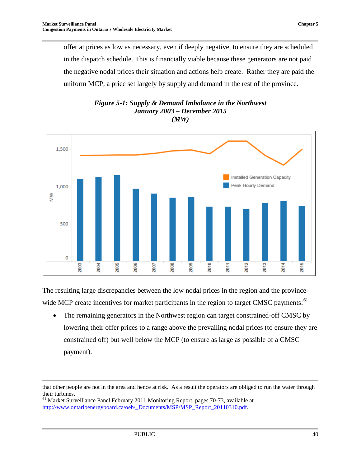offer at prices as low as necessary, even if deeply negative, to ensure they are scheduled in the dispatch schedule. This is financially viable because these generators are not paid the negative nodal prices their situation and actions help create. Rather they are paid the uniform MCP, a price set largely by supply and demand in the rest of the province.

<span id="page-45-0"></span>

#### *Figure 5-1: Supply & Demand Imbalance in the Northwest January 2003 – December 2015 (MW)*

The resulting large discrepancies between the low nodal prices in the region and the province-wide MCP create incentives for market participants in the region to target CMSC payments:<sup>[61](#page-45-1)</sup>

• The remaining generators in the Northwest region can target constrained-off CMSC by lowering their offer prices to a range above the prevailing nodal prices (to ensure they are constrained off) but well below the MCP (to ensure as large as possible of a CMSC payment).

 $\overline{a}$ 

that other people are not in the area and hence at risk. As a result the operators are obliged to run the water through their turbines.

<span id="page-45-1"></span><sup>61</sup> Market Surveillance Panel February 2011 Monitoring Report, pages 70-73, available at [http://www.ontarioenergyboard.ca/oeb/\\_Documents/MSP/MSP\\_Report\\_20110310.pdf.](http://www.ontarioenergyboard.ca/oeb/_Documents/MSP/MSP_Report_20110310.pdf)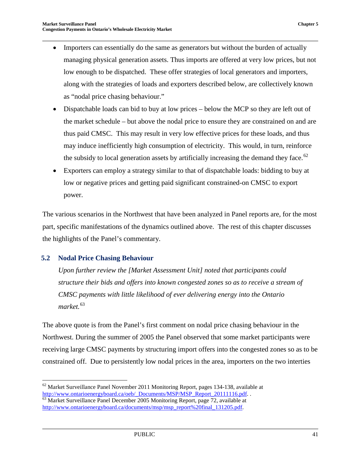- Importers can essentially do the same as generators but without the burden of actually managing physical generation assets. Thus imports are offered at very low prices, but not low enough to be dispatched. These offer strategies of local generators and importers, along with the strategies of loads and exporters described below, are collectively known as "nodal price chasing behaviour."
- Dispatchable loads can bid to buy at low prices below the MCP so they are left out of the market schedule – but above the nodal price to ensure they are constrained on and are thus paid CMSC. This may result in very low effective prices for these loads, and thus may induce inefficiently high consumption of electricity. This would, in turn, reinforce the subsidy to local generation assets by artificially increasing the demand they face.<sup>[62](#page-46-1)</sup>
- Exporters can employ a strategy similar to that of dispatchable loads: bidding to buy at low or negative prices and getting paid significant constrained-on CMSC to export power.

The various scenarios in the Northwest that have been analyzed in Panel reports are, for the most part, specific manifestations of the dynamics outlined above. The rest of this chapter discusses the highlights of the Panel's commentary.

#### <span id="page-46-0"></span>**5.2 Nodal Price Chasing Behaviour**

*Upon further review the [Market Assessment Unit] noted that participants could structure their bids and offers into known congested zones so as to receive a stream of CMSC payments with little likelihood of ever delivering energy into the Ontario market.*[63](#page-46-2)

The above quote is from the Panel's first comment on nodal price chasing behaviour in the Northwest. During the summer of 2005 the Panel observed that some market participants were receiving large CMSC payments by structuring import offers into the congested zones so as to be constrained off. Due to persistently low nodal prices in the area, importers on the two interties

<span id="page-46-1"></span> $62$  Market Surveillance Panel November 2011 Monitoring Report, pages 134-138, available at [http://www.ontarioenergyboard.ca/oeb/\\_Documents/MSP/MSP\\_Report\\_20111116.pdf.](http://www.ontarioenergyboard.ca/oeb/_Documents/MSP/MSP_Report_20111116.pdf) . 63 Market Surveillance Panel December 2005 Monitoring Report, page 72, available at

<span id="page-46-2"></span>[http://www.ontarioenergyboard.ca/documents/msp/msp\\_report%20final\\_131205.pdf.](http://www.ontarioenergyboard.ca/documents/msp/msp_report%20final_131205.pdf)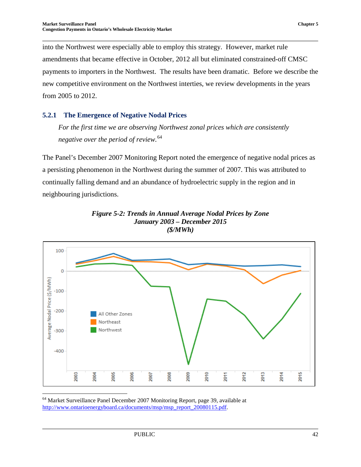into the Northwest were especially able to employ this strategy. However, market rule amendments that became effective in October, 2012 all but eliminated constrained-off CMSC payments to importers in the Northwest. The results have been dramatic. Before we describe the new competitive environment on the Northwest interties, we review developments in the years from 2005 to 2012.

#### <span id="page-47-0"></span>**5.2.1 The Emergence of Negative Nodal Prices**

*For the first time we are observing Northwest zonal prices which are consistently negative over the period of review.*[64](#page-47-2)

The Panel's December 2007 Monitoring Report noted the emergence of negative nodal prices as a persisting phenomenon in the Northwest during the summer of 2007. This was attributed to continually falling demand and an abundance of hydroelectric supply in the region and in neighbouring jurisdictions.

<span id="page-47-1"></span>



<span id="page-47-2"></span> 64 Market Surveillance Panel December 2007 Monitoring Report, page 39, available at [http://www.ontarioenergyboard.ca/documents/msp/msp\\_report\\_20080115.pdf.](http://www.ontarioenergyboard.ca/documents/msp/msp_report_20080115.pdf)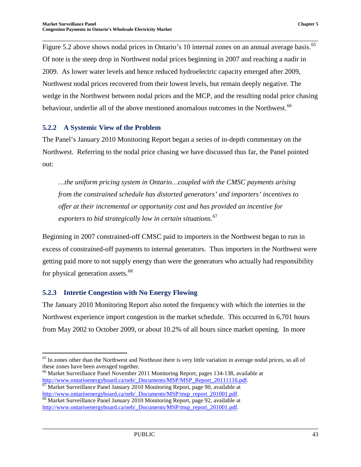Figure 5.2 above shows nodal prices in Ontario's 10 internal zones on an annual average basis.<sup>[65](#page-48-2)</sup> Of note is the steep drop in Northwest nodal prices beginning in 2007 and reaching a nadir in 2009. As lower water levels and hence reduced hydroelectric capacity emerged after 2009, Northwest nodal prices recovered from their lowest levels, but remain deeply negative. The wedge in the Northwest between nodal prices and the MCP, and the resulting nodal price chasing behaviour, underlie all of the above mentioned anomalous outcomes in the Northwest.<sup>[66](#page-48-3)</sup>

#### <span id="page-48-0"></span>**5.2.2 A Systemic View of the Problem**

The Panel's January 2010 Monitoring Report began a series of in-depth commentary on the Northwest. Referring to the nodal price chasing we have discussed thus far, the Panel pointed out:

*…the uniform pricing system in Ontario…coupled with the CMSC payments arising from the constrained schedule has distorted generators' and importers' incentives to offer at their incremental or opportunity cost and has provided an incentive for exporters to bid strategically low in certain situations.*[67](#page-48-4)

Beginning in 2007 constrained-off CMSC paid to importers in the Northwest began to run in excess of constrained-off payments to internal generators. Thus importers in the Northwest were getting paid more to not supply energy than were the generators who actually had responsibility for physical generation assets.<sup>[68](#page-48-5)</sup>

#### <span id="page-48-1"></span>**5.2.3 Intertie Congestion with No Energy Flowing**

The January 2010 Monitoring Report also noted the frequency with which the interties in the Northwest experience import congestion in the market schedule. This occurred in 6,701 hours from May 2002 to October 2009, or about 10.2% of all hours since market opening. In more

<span id="page-48-2"></span> $65$  In zones other than the Northwest and Northeast there is very little variation in average nodal prices, so all of these zones have been averaged together.

<span id="page-48-3"></span><sup>&</sup>lt;sup>66</sup> Market Surveillance Panel November 2011 Monitoring Report, pages 134-138, available at http://www.ontarioenergyboard.ca/oeb/ Documents/MSP/MSP Report 20111116.pdf.

<span id="page-48-4"></span>Market Surveillance Panel January 2010 Monitoring Report, page 90, available at [http://www.ontarioenergyboard.ca/oeb/\\_Documents/MSP/msp\\_report\\_201001.pdf.](http://www.ontarioenergyboard.ca/oeb/_Documents/MSP/msp_report_201001.pdf) 68 Market Surveillance Panel January 2010 Monitoring Report, page 92, available at

<span id="page-48-5"></span>[http://www.ontarioenergyboard.ca/oeb/\\_Documents/MSP/msp\\_report\\_201001.pdf.](http://www.ontarioenergyboard.ca/oeb/_Documents/MSP/msp_report_201001.pdf)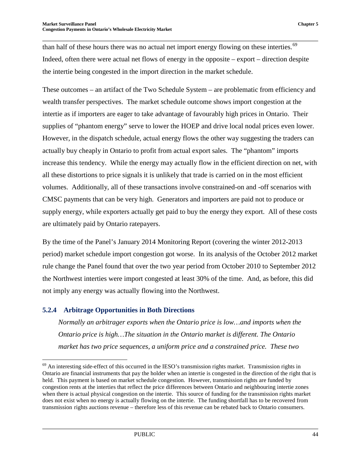than half of these hours there was no actual net import energy flowing on these interties.<sup>[69](#page-49-1)</sup> Indeed, often there were actual net flows of energy in the opposite – export – direction despite the intertie being congested in the import direction in the market schedule.

These outcomes – an artifact of the Two Schedule System – are problematic from efficiency and wealth transfer perspectives. The market schedule outcome shows import congestion at the intertie as if importers are eager to take advantage of favourably high prices in Ontario. Their supplies of "phantom energy" serve to lower the HOEP and drive local nodal prices even lower. However, in the dispatch schedule, actual energy flows the other way suggesting the traders can actually buy cheaply in Ontario to profit from actual export sales. The "phantom" imports increase this tendency. While the energy may actually flow in the efficient direction on net, with all these distortions to price signals it is unlikely that trade is carried on in the most efficient volumes. Additionally, all of these transactions involve constrained-on and -off scenarios with CMSC payments that can be very high. Generators and importers are paid not to produce or supply energy, while exporters actually get paid to buy the energy they export. All of these costs are ultimately paid by Ontario ratepayers.

By the time of the Panel's January 2014 Monitoring Report (covering the winter 2012-2013 period) market schedule import congestion got worse. In its analysis of the October 2012 market rule change the Panel found that over the two year period from October 2010 to September 2012 the Northwest interties were import congested at least 30% of the time. And, as before, this did not imply any energy was actually flowing into the Northwest.

#### <span id="page-49-0"></span>**5.2.4 Arbitrage Opportunities in Both Directions**

*Normally an arbitrager exports when the Ontario price is low…and imports when the Ontario price is high…The situation in the Ontario market is different. The Ontario market has two price sequences, a uniform price and a constrained price. These two* 

<span id="page-49-1"></span> <sup>69</sup> An interesting side-effect of this occurred in the IESO's transmission rights market. Transmission rights in Ontario are financial instruments that pay the holder when an intertie is congested in the direction of the right that is held. This payment is based on market schedule congestion. However, transmission rights are funded by congestion rents at the interties that reflect the price differences between Ontario and neighbouring intertie zones when there is actual physical congestion on the intertie. This source of funding for the transmission rights market does not exist when no energy is actually flowing on the intertie. The funding shortfall has to be recovered from transmission rights auctions revenue – therefore less of this revenue can be rebated back to Ontario consumers.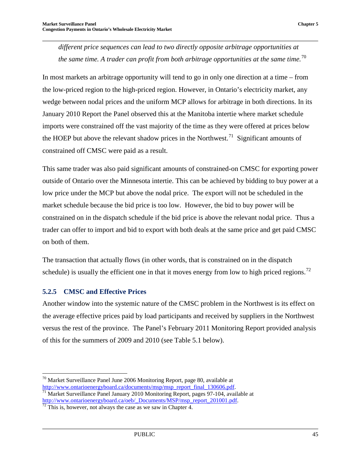*different price sequences can lead to two directly opposite arbitrage opportunities at the same time. A trader can profit from both arbitrage opportunities at the same time.*[70](#page-50-1)

In most markets an arbitrage opportunity will tend to go in only one direction at a time – from the low-priced region to the high-priced region. However, in Ontario's electricity market, any wedge between nodal prices and the uniform MCP allows for arbitrage in both directions. In its January 2010 Report the Panel observed this at the Manitoba intertie where market schedule imports were constrained off the vast majority of the time as they were offered at prices below the HOEP but above the relevant shadow prices in the Northwest.<sup>[71](#page-50-2)</sup> Significant amounts of constrained off CMSC were paid as a result.

This same trader was also paid significant amounts of constrained-on CMSC for exporting power outside of Ontario over the Minnesota intertie. This can be achieved by bidding to buy power at a low price under the MCP but above the nodal price. The export will not be scheduled in the market schedule because the bid price is too low. However, the bid to buy power will be constrained on in the dispatch schedule if the bid price is above the relevant nodal price. Thus a trader can offer to import and bid to export with both deals at the same price and get paid CMSC on both of them.

The transaction that actually flows (in other words, that is constrained on in the dispatch schedule) is usually the efficient one in that it moves energy from low to high priced regions.<sup>[72](#page-50-3)</sup>

#### <span id="page-50-0"></span>**5.2.5 CMSC and Effective Prices**

Another window into the systemic nature of the CMSC problem in the Northwest is its effect on the average effective prices paid by load participants and received by suppliers in the Northwest versus the rest of the province. The Panel's February 2011 Monitoring Report provided analysis of this for the summers of 2009 and 2010 (see Table 5.1 below).

<span id="page-50-1"></span><sup>&</sup>lt;sup>70</sup> Market Surveillance Panel June 2006 Monitoring Report, page 80, available at http://www.ontarioenergyboard.ca/documents/msp/msp\_report\_final\_130606.pdf.

<span id="page-50-2"></span> $\frac{1}{11}$  Market Surveillance Panel January 2010 Monitoring Report, pages 97-104, available at [http://www.ontarioenergyboard.ca/oeb/\\_Documents/MSP/msp\\_report\\_201001.pdf.](http://www.ontarioenergyboard.ca/oeb/_Documents/MSP/msp_report_201001.pdf) <sup>[72](http://www.ontarioenergyboard.ca/oeb/_Documents/MSP/msp_report_201001.pdf)</sup> This is, however, not always the case as we saw in Chapter 4.

<span id="page-50-3"></span>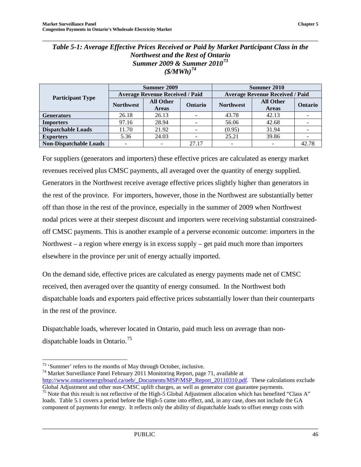#### <span id="page-51-0"></span>*Table 5-1: Average Effective Prices Received or Paid by Market Participant Class in the Northwest and the Rest of Ontario Summer 2009 & Summer 2010[73](#page-51-1) (\$/MWh)[74](#page-51-2)*

|                               |                  | Summer 2009                            |                | Summer 2010                            |                  |         |  |
|-------------------------------|------------------|----------------------------------------|----------------|----------------------------------------|------------------|---------|--|
|                               |                  | <b>Average Revenue Received / Paid</b> |                | <b>Average Revenue Received / Paid</b> |                  |         |  |
| <b>Participant Type</b>       | <b>Northwest</b> | <b>All Other</b>                       | <b>Ontario</b> | <b>Northwest</b>                       | <b>All Other</b> | Ontario |  |
|                               |                  | <b>Areas</b>                           |                |                                        | <b>Areas</b>     |         |  |
| <b>Generators</b>             | 26.18            | 26.13                                  |                | 43.78                                  | 42.13            |         |  |
| <b>Importers</b>              | 97.16            | 28.94                                  |                | 56.06                                  | 42.68            |         |  |
| <b>Dispatchable Loads</b>     | 11.70            | 21.92                                  | -              | (0.95)                                 | 31.94            |         |  |
| <b>Exporters</b>              | 5.36             | 24.03                                  |                | 25.21                                  | 39.86            |         |  |
| <b>Non-Dispatchable Loads</b> |                  |                                        | 27.17          |                                        |                  | 42.78   |  |

For suppliers (generators and importers) these effective prices are calculated as energy market revenues received plus CMSC payments, all averaged over the quantity of energy supplied. Generators in the Northwest receive average effective prices slightly higher than generators in the rest of the province. For importers, however, those in the Northwest are substantially better off than those in the rest of the province, especially in the summer of 2009 when Northwest nodal prices were at their steepest discount and importers were receiving substantial constrainedoff CMSC payments. This is another example of a perverse economic outcome: importers in the Northwest – a region where energy is in excess supply – get paid much more than importers elsewhere in the province per unit of energy actually imported.

On the demand side, effective prices are calculated as energy payments made net of CMSC received, then averaged over the quantity of energy consumed. In the Northwest both dispatchable loads and exporters paid effective prices substantially lower than their counterparts in the rest of the province.

Dispatchable loads, wherever located in Ontario, paid much less on average than non-dispatchable loads in Ontario.<sup>[75](#page-51-3)</sup>

<span id="page-51-3"></span><span id="page-51-2"></span><span id="page-51-1"></span><sup>73</sup> 'Summer' refers to the months of May through October, inclusive.<br><sup>74</sup> Market Surveillance Panel February 2011 Monitoring Report, page 71, available at [http://www.ontarioenergyboard.ca/oeb/\\_Documents/MSP/MSP\\_Report\\_20110310.pdf.](http://www.ontarioenergyboard.ca/oeb/_Documents/MSP/MSP_Report_20110310.pdf) These calculations exclude Global Adjustment and other non-CMSC uplift charges, as well as generator cost guarantee payments. <sup>75</sup> Note that this result is not reflective of the High-5 Global Adjustment allocation which has benefited "Class A" loads. Table 5.1 covers a period before the High-5 came into effect, and, in any case, does not include the GA component of payments for energy. It reflects only the ability of dispatchable loads to offset energy costs with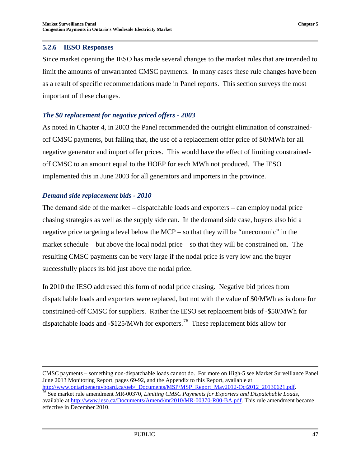#### <span id="page-52-0"></span>**5.2.6 IESO Responses**

Since market opening the IESO has made several changes to the market rules that are intended to limit the amounts of unwarranted CMSC payments. In many cases these rule changes have been as a result of specific recommendations made in Panel reports. This section surveys the most important of these changes.

#### *The \$0 replacement for negative priced offers - 2003*

As noted in Chapter 4, in 2003 the Panel recommended the outright elimination of constrainedoff CMSC payments, but failing that, the use of a replacement offer price of \$0/MWh for all negative generator and import offer prices. This would have the effect of limiting constrainedoff CMSC to an amount equal to the HOEP for each MWh not produced. The IESO implemented this in June 2003 for all generators and importers in the province.

#### *Demand side replacement bids - 2010*

The demand side of the market – dispatchable loads and exporters – can employ nodal price chasing strategies as well as the supply side can. In the demand side case, buyers also bid a negative price targeting a level below the MCP – so that they will be "uneconomic" in the market schedule – but above the local nodal price – so that they will be constrained on. The resulting CMSC payments can be very large if the nodal price is very low and the buyer successfully places its bid just above the nodal price.

In 2010 the IESO addressed this form of nodal price chasing. Negative bid prices from dispatchable loads and exporters were replaced, but not with the value of \$0/MWh as is done for constrained-off CMSC for suppliers. Rather the IESO set replacement bids of -\$50/MWh for dispatchable loads and -\$125/MWh for exporters.<sup>[76](#page-52-1)</sup> These replacement bids allow for

 $\overline{a}$ CMSC payments – something non-dispatchable loads cannot do. For more on High-5 see Market Surveillance Panel June 2013 Monitoring Report, pages 69-92, and the Appendix to this Report, available at http://www.ontarioenergyboard.ca/oeb/\_Documents/MSP/MSP\_Report\_May2012-Oct2012\_20130621.pdf.

<sup>&</sup>lt;sup>76</sup> See market rule amendment MR-00370, *Limiting CMSC Payments for Exporters and Dispatchable Loads*,

<span id="page-52-1"></span>available at [http://www.ieso.ca/Documents/Amend/mr2010/MR-00370-R00-BA.pdf.](http://www.ieso.ca/Documents/Amend/mr2010/MR-00370-R00-BA.pdf) This rule amendment became effective in December 2010.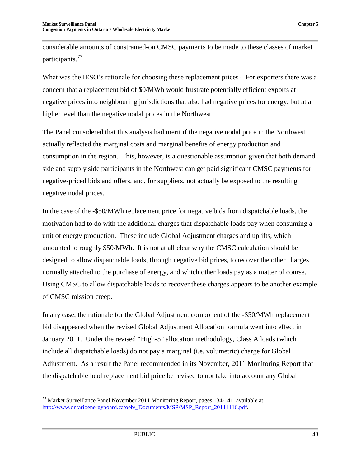considerable amounts of constrained-on CMSC payments to be made to these classes of market participants.<sup>[77](#page-53-0)</sup>

What was the IESO's rationale for choosing these replacement prices? For exporters there was a concern that a replacement bid of \$0/MWh would frustrate potentially efficient exports at negative prices into neighbouring jurisdictions that also had negative prices for energy, but at a higher level than the negative nodal prices in the Northwest.

The Panel considered that this analysis had merit if the negative nodal price in the Northwest actually reflected the marginal costs and marginal benefits of energy production and consumption in the region. This, however, is a questionable assumption given that both demand side and supply side participants in the Northwest can get paid significant CMSC payments for negative-priced bids and offers, and, for suppliers, not actually be exposed to the resulting negative nodal prices.

In the case of the -\$50/MWh replacement price for negative bids from dispatchable loads, the motivation had to do with the additional charges that dispatchable loads pay when consuming a unit of energy production. These include Global Adjustment charges and uplifts, which amounted to roughly \$50/MWh. It is not at all clear why the CMSC calculation should be designed to allow dispatchable loads, through negative bid prices, to recover the other charges normally attached to the purchase of energy, and which other loads pay as a matter of course. Using CMSC to allow dispatchable loads to recover these charges appears to be another example of CMSC mission creep.

In any case, the rationale for the Global Adjustment component of the -\$50/MWh replacement bid disappeared when the revised Global Adjustment Allocation formula went into effect in January 2011. Under the revised "High-5" allocation methodology, Class A loads (which include all dispatchable loads) do not pay a marginal (i.e. volumetric) charge for Global Adjustment. As a result the Panel recommended in its November, 2011 Monitoring Report that the dispatchable load replacement bid price be revised to not take into account any Global

<span id="page-53-0"></span> $77$  Market Surveillance Panel November 2011 Monitoring Report, pages 134-141, available at [http://www.ontarioenergyboard.ca/oeb/\\_Documents/MSP/MSP\\_Report\\_20111116.pdf.](http://www.ontarioenergyboard.ca/oeb/_Documents/MSP/MSP_Report_20111116.pdf)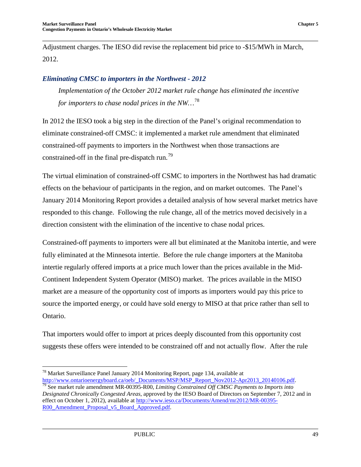Adjustment charges. The IESO did revise the replacement bid price to -\$15/MWh in March, 2012.

#### *Eliminating CMSC to importers in the Northwest - 2012*

*Implementation of the October 2012 market rule change has eliminated the incentive for importers to chase nodal prices in the NW…*[78](#page-54-0)

In 2012 the IESO took a big step in the direction of the Panel's original recommendation to eliminate constrained-off CMSC: it implemented a market rule amendment that eliminated constrained-off payments to importers in the Northwest when those transactions are constrained-off in the final pre-dispatch run.<sup>[79](#page-54-1)</sup>

The virtual elimination of constrained-off CSMC to importers in the Northwest has had dramatic effects on the behaviour of participants in the region, and on market outcomes. The Panel's January 2014 Monitoring Report provides a detailed analysis of how several market metrics have responded to this change. Following the rule change, all of the metrics moved decisively in a direction consistent with the elimination of the incentive to chase nodal prices.

Constrained-off payments to importers were all but eliminated at the Manitoba intertie, and were fully eliminated at the Minnesota intertie. Before the rule change importers at the Manitoba intertie regularly offered imports at a price much lower than the prices available in the Mid-Continent Independent System Operator (MISO) market. The prices available in the MISO market are a measure of the opportunity cost of imports as importers would pay this price to source the imported energy, or could have sold energy to MISO at that price rather than sell to Ontario.

That importers would offer to import at prices deeply discounted from this opportunity cost suggests these offers were intended to be constrained off and not actually flow. After the rule

<span id="page-54-0"></span><sup>&</sup>lt;sup>78</sup> Market Surveillance Panel January 2014 Monitoring Report, page 134, available at http://www.ontarioenergyboard.ca/oeb/\_Documents/MSP/MSP\_Report\_Nov2012-Apr2013\_20140106.pdf.

<span id="page-54-1"></span>heta<sub>2</sub><br>See market rule amendment MR-00395-R00, *Limiting Constrained Off CMSC Payments to Imports into Designated Chronically Congested Areas*, approved by the IESO Board of Directors on September 7, 2012 and in effect on October 1, 2012), available at [http://www.ieso.ca/Documents/Amend/mr2012/MR-00395-](http://www.ieso.ca/Documents/Amend/mr2012/MR-00395-R00_Amendment_Proposal_v5_Board_Approved.pdf) R00\_Amendment\_Proposal\_v5\_Board\_Approved.pdf.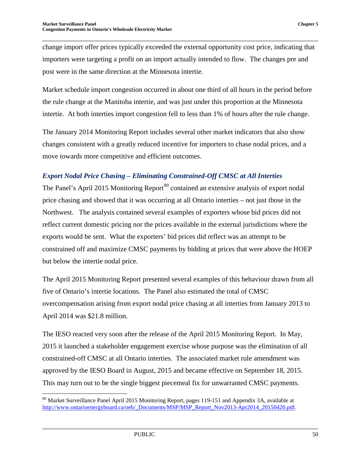change import offer prices typically exceeded the external opportunity cost price, indicating that importers were targeting a profit on an import actually intended to flow. The changes pre and post were in the same direction at the Minnesota intertie.

Market schedule import congestion occurred in about one third of all hours in the period before the rule change at the Manitoba intertie, and was just under this proportion at the Minnesota intertie. At both interties import congestion fell to less than 1% of hours after the rule change.

The January 2014 Monitoring Report includes several other market indicators that also show changes consistent with a greatly reduced incentive for importers to chase nodal prices, and a move towards more competitive and efficient outcomes.

#### *Export Nodal Price Chasing – Eliminating Constrained-Off CMSC at All Interties*

The Panel's April 2015 Monitoring Report<sup>[80](#page-55-0)</sup> contained an extensive analysis of export nodal price chasing and showed that it was occurring at all Ontario interties – not just those in the Northwest. The analysis contained several examples of exporters whose bid prices did not reflect current domestic pricing nor the prices available in the external jurisdictions where the exports would be sent. What the exporters' bid prices did reflect was an attempt to be constrained off and maximize CMSC payments by bidding at prices that were above the HOEP but below the intertie nodal price.

The April 2015 Monitoring Report presented several examples of this behaviour drawn from all five of Ontario's intertie locations. The Panel also estimated the total of CMSC overcompensation arising from export nodal price chasing at all interties from January 2013 to April 2014 was \$21.8 million.

The IESO reacted very soon after the release of the April 2015 Monitoring Report. In May, 2015 it launched a stakeholder engagement exercise whose purpose was the elimination of all constrained-off CMSC at all Ontario interties. The associated market rule amendment was approved by the IESO Board in August, 2015 and became effective on September 18, 2015. This may turn out to be the single biggest piecemeal fix for unwarranted CMSC payments.

<span id="page-55-0"></span><sup>&</sup>lt;sup>80</sup> Market Surveillance Panel April 2015 Monitoring Report, pages 119-151 and Appendix 3A, available at [http://www.ontarioenergyboard.ca/oeb/\\_Documents/MSP/MSP\\_Report\\_Nov2013-Apr2014\\_20150420.pdf.](http://www.ontarioenergyboard.ca/oeb/_Documents/MSP/MSP_Report_Nov2013-Apr2014_20150420.pdf)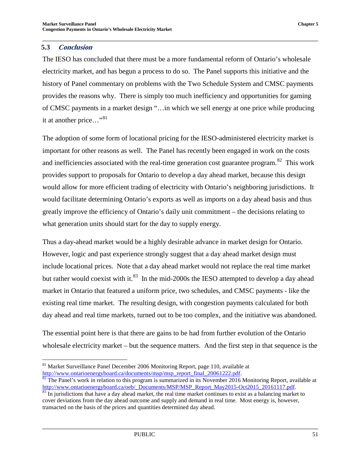#### <span id="page-56-0"></span>**5.3 Conclusion**

The IESO has concluded that there must be a more fundamental reform of Ontario's wholesale electricity market, and has begun a process to do so. The Panel supports this initiative and the history of Panel commentary on problems with the Two Schedule System and CMSC payments provides the reasons why. There is simply too much inefficiency and opportunities for gaming of CMSC payments in a market design "…in which we sell energy at one price while producing it at another price..."<sup>[81](#page-56-1)</sup>

The adoption of some form of locational pricing for the IESO-administered electricity market is important for other reasons as well. The Panel has recently been engaged in work on the costs and inefficiencies associated with the real-time generation cost guarantee program.<sup>[82](#page-56-2)</sup> This work provides support to proposals for Ontario to develop a day ahead market, because this design would allow for more efficient trading of electricity with Ontario's neighboring jurisdictions. It would facilitate determining Ontario's exports as well as imports on a day ahead basis and thus greatly improve the efficiency of Ontario's daily unit commitment – the decisions relating to what generation units should start for the day to supply energy.

Thus a day-ahead market would be a highly desirable advance in market design for Ontario. However, logic and past experience strongly suggest that a day ahead market design must include locational prices. Note that a day ahead market would not replace the real time market but rather would coexist with it.<sup>[83](#page-56-3)</sup> In the mid-2000s the IESO attempted to develop a day ahead market in Ontario that featured a uniform price, two schedules, and CMSC payments - like the existing real time market. The resulting design, with congestion payments calculated for both day ahead and real time markets, turned out to be too complex, and the initiative was abandoned.

The essential point here is that there are gains to be had from further evolution of the Ontario wholesale electricity market – but the sequence matters. And the first step in that sequence is the

<span id="page-56-1"></span><sup>&</sup>lt;sup>81</sup> Market Surveillance Panel December 2006 Monitoring Report, page 110, available at http://www.ontarioenergyboard.ca/documents/msp/msp report final 20061222.pdf.

<span id="page-56-2"></span> $\frac{1}{82}$  $\frac{1}{82}$  $\frac{1}{82}$  The Panel's work in relation to this program is summarized in its November 2016 Monitoring Report, available at http://www.ontarioenergyboard.ca/oeb/\_Documents/MSP/MSP\_Report\_May2015-Oct2015\_20161117.pdf.

<span id="page-56-3"></span> $\frac{83}{83}$  $\frac{83}{83}$  $\frac{83}{83}$  In jurisdictions that have a day ahead market, the real time market continues to exist as a balancing market to cover deviations from the day ahead outcome and supply and demand in real time. Most energy is, however, transacted on the basis of the prices and quantities determined day ahead.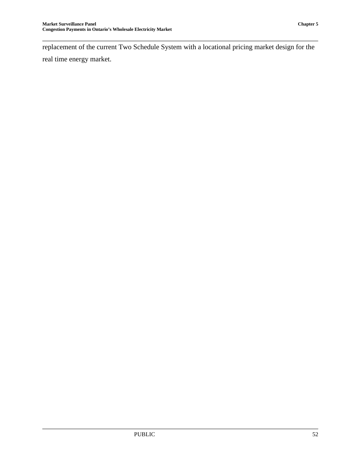replacement of the current Two Schedule System with a locational pricing market design for the real time energy market.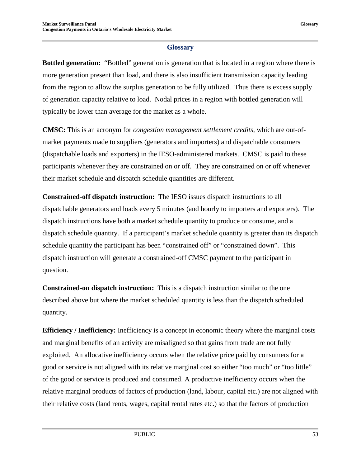#### **Glossary**

<span id="page-58-0"></span>**Bottled generation:** "Bottled" generation is generation that is located in a region where there is more generation present than load, and there is also insufficient transmission capacity leading from the region to allow the surplus generation to be fully utilized. Thus there is excess supply of generation capacity relative to load. Nodal prices in a region with bottled generation will typically be lower than average for the market as a whole.

**CMSC:** This is an acronym for *congestion management settlement credits,* which are out-ofmarket payments made to suppliers (generators and importers) and dispatchable consumers (dispatchable loads and exporters) in the IESO-administered markets. CMSC is paid to these participants whenever they are constrained on or off. They are constrained on or off whenever their market schedule and dispatch schedule quantities are different.

**Constrained-off dispatch instruction:** The IESO issues dispatch instructions to all dispatchable generators and loads every 5 minutes (and hourly to importers and exporters). The dispatch instructions have both a market schedule quantity to produce or consume, and a dispatch schedule quantity. If a participant's market schedule quantity is greater than its dispatch schedule quantity the participant has been "constrained off" or "constrained down". This dispatch instruction will generate a constrained-off CMSC payment to the participant in question.

**Constrained-on dispatch instruction:** This is a dispatch instruction similar to the one described above but where the market scheduled quantity is less than the dispatch scheduled quantity.

**Efficiency / Inefficiency:** Inefficiency is a concept in economic theory where the marginal costs and marginal benefits of an activity are misaligned so that gains from trade are not fully exploited. An allocative inefficiency occurs when the relative price paid by consumers for a good or service is not aligned with its relative marginal cost so either "too much" or "too little" of the good or service is produced and consumed. A productive inefficiency occurs when the relative marginal products of factors of production (land, labour, capital etc.) are not aligned with their relative costs (land rents, wages, capital rental rates etc.) so that the factors of production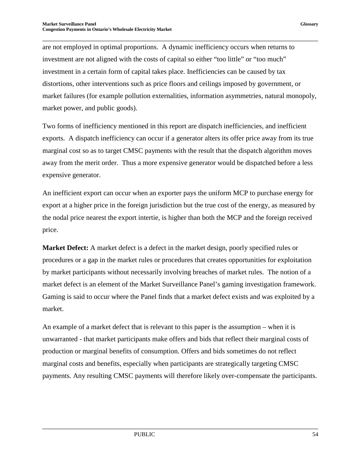are not employed in optimal proportions. A dynamic inefficiency occurs when returns to investment are not aligned with the costs of capital so either "too little" or "too much" investment in a certain form of capital takes place. Inefficiencies can be caused by tax distortions, other interventions such as price floors and ceilings imposed by government, or market failures (for example pollution externalities, information asymmetries, natural monopoly, market power, and public goods).

Two forms of inefficiency mentioned in this report are dispatch inefficiencies, and inefficient exports. A dispatch inefficiency can occur if a generator alters its offer price away from its true marginal cost so as to target CMSC payments with the result that the dispatch algorithm moves away from the merit order. Thus a more expensive generator would be dispatched before a less expensive generator.

An inefficient export can occur when an exporter pays the uniform MCP to purchase energy for export at a higher price in the foreign jurisdiction but the true cost of the energy, as measured by the nodal price nearest the export intertie, is higher than both the MCP and the foreign received price.

**Market Defect:** A market defect is a defect in the market design, poorly specified rules or procedures or a gap in the market rules or procedures that creates opportunities for exploitation by market participants without necessarily involving breaches of market rules. The notion of a market defect is an element of the Market Surveillance Panel's gaming investigation framework. Gaming is said to occur where the Panel finds that a market defect exists and was exploited by a market.

An example of a market defect that is relevant to this paper is the assumption – when it is unwarranted - that market participants make offers and bids that reflect their marginal costs of production or marginal benefits of consumption. Offers and bids sometimes do not reflect marginal costs and benefits, especially when participants are strategically targeting CMSC payments. Any resulting CMSC payments will therefore likely over-compensate the participants.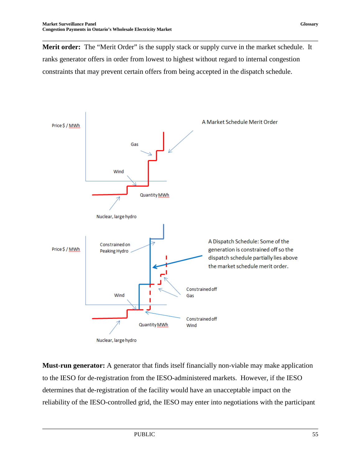**Merit order:** The "Merit Order" is the supply stack or supply curve in the market schedule. It ranks generator offers in order from lowest to highest without regard to internal congestion constraints that may prevent certain offers from being accepted in the dispatch schedule.



**Must-run generator:** A generator that finds itself financially non-viable may make application to the IESO for de-registration from the IESO-administered markets. However, if the IESO determines that de-registration of the facility would have an unacceptable impact on the reliability of the IESO-controlled grid, the IESO may enter into negotiations with the participant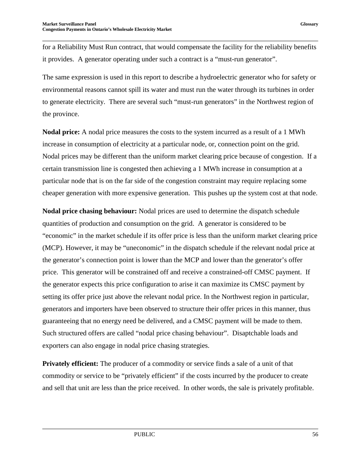for a Reliability Must Run contract, that would compensate the facility for the reliability benefits it provides. A generator operating under such a contract is a "must-run generator".

The same expression is used in this report to describe a hydroelectric generator who for safety or environmental reasons cannot spill its water and must run the water through its turbines in order to generate electricity. There are several such "must-run generators" in the Northwest region of the province.

**Nodal price:** A nodal price measures the costs to the system incurred as a result of a 1 MWh increase in consumption of electricity at a particular node, or, connection point on the grid. Nodal prices may be different than the uniform market clearing price because of congestion. If a certain transmission line is congested then achieving a 1 MWh increase in consumption at a particular node that is on the far side of the congestion constraint may require replacing some cheaper generation with more expensive generation. This pushes up the system cost at that node.

**Nodal price chasing behaviour:** Nodal prices are used to determine the dispatch schedule quantities of production and consumption on the grid. A generator is considered to be "economic" in the market schedule if its offer price is less than the uniform market clearing price (MCP). However, it may be "uneconomic" in the dispatch schedule if the relevant nodal price at the generator's connection point is lower than the MCP and lower than the generator's offer price. This generator will be constrained off and receive a constrained-off CMSC payment. If the generator expects this price configuration to arise it can maximize its CMSC payment by setting its offer price just above the relevant nodal price. In the Northwest region in particular, generators and importers have been observed to structure their offer prices in this manner, thus guaranteeing that no energy need be delivered, and a CMSC payment will be made to them. Such structured offers are called "nodal price chasing behaviour". Disaptchable loads and exporters can also engage in nodal price chasing strategies.

**Privately efficient:** The producer of a commodity or service finds a sale of a unit of that commodity or service to be "privately efficient" if the costs incurred by the producer to create and sell that unit are less than the price received. In other words, the sale is privately profitable.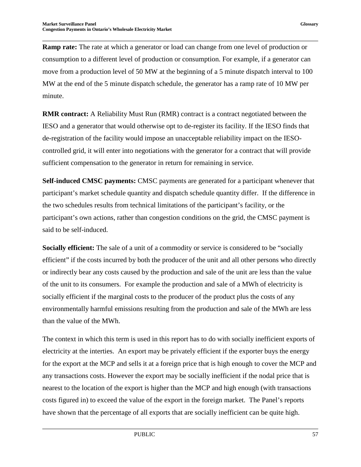**Ramp rate:** The rate at which a generator or load can change from one level of production or consumption to a different level of production or consumption. For example, if a generator can move from a production level of 50 MW at the beginning of a 5 minute dispatch interval to 100 MW at the end of the 5 minute dispatch schedule, the generator has a ramp rate of 10 MW per minute.

**RMR contract:** A Reliability Must Run (RMR) contract is a contract negotiated between the IESO and a generator that would otherwise opt to de-register its facility. If the IESO finds that de-registration of the facility would impose an unacceptable reliability impact on the IESOcontrolled grid, it will enter into negotiations with the generator for a contract that will provide sufficient compensation to the generator in return for remaining in service.

**Self-induced CMSC payments:** CMSC payments are generated for a participant whenever that participant's market schedule quantity and dispatch schedule quantity differ. If the difference in the two schedules results from technical limitations of the participant's facility, or the participant's own actions, rather than congestion conditions on the grid, the CMSC payment is said to be self-induced.

**Socially efficient:** The sale of a unit of a commodity or service is considered to be "socially efficient" if the costs incurred by both the producer of the unit and all other persons who directly or indirectly bear any costs caused by the production and sale of the unit are less than the value of the unit to its consumers. For example the production and sale of a MWh of electricity is socially efficient if the marginal costs to the producer of the product plus the costs of any environmentally harmful emissions resulting from the production and sale of the MWh are less than the value of the MWh.

The context in which this term is used in this report has to do with socially inefficient exports of electricity at the interties. An export may be privately efficient if the exporter buys the energy for the export at the MCP and sells it at a foreign price that is high enough to cover the MCP and any transactions costs. However the export may be socially inefficient if the nodal price that is nearest to the location of the export is higher than the MCP and high enough (with transactions costs figured in) to exceed the value of the export in the foreign market. The Panel's reports have shown that the percentage of all exports that are socially inefficient can be quite high.